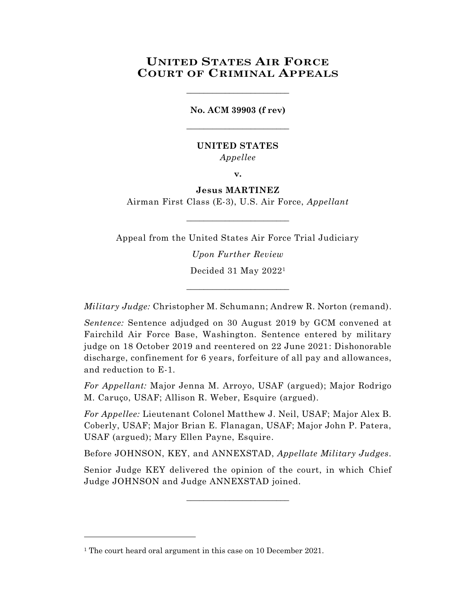# **UNITED STATES AIR FORCE COURT OF CRIMINAL APPEALS**

**No. ACM 39903 (f rev)** \_\_\_\_\_\_\_\_\_\_\_\_\_\_\_\_\_\_\_\_\_\_\_\_

\_\_\_\_\_\_\_\_\_\_\_\_\_\_\_\_\_\_\_\_\_\_\_\_

## **UNITED STATES** *Appellee*

**v.**

### **Jesus MARTINEZ**

Airman First Class (E-3), U.S. Air Force, *Appellant*  $\_$ 

Appeal from the United States Air Force Trial Judiciary

*Upon Further Review* Decided 31 May 2022<sup>1</sup>

*Military Judge:* Christopher M. Schumann; Andrew R. Norton (remand).

\_\_\_\_\_\_\_\_\_\_\_\_\_\_\_\_\_\_\_\_\_\_\_\_

*Sentence:* Sentence adjudged on 30 August 2019 by GCM convened at Fairchild Air Force Base, Washington. Sentence entered by military judge on 18 October 2019 and reentered on 22 June 2021: Dishonorable discharge, confinement for 6 years, forfeiture of all pay and allowances, and reduction to E-1.

*For Appellant:* Major Jenna M. Arroyo, USAF (argued); Major Rodrigo M. Caruço, USAF; Allison R. Weber, Esquire (argued).

*For Appellee:* Lieutenant Colonel Matthew J. Neil, USAF; Major Alex B. Coberly, USAF; Major Brian E. Flanagan, USAF; Major John P. Patera, USAF (argued); Mary Ellen Payne, Esquire.

Before JOHNSON, KEY, and ANNEXSTAD, *Appellate Military Judges.*

Senior Judge KEY delivered the opinion of the court, in which Chief Judge JOHNSON and Judge ANNEXSTAD joined.

 $\_$ 

<sup>&</sup>lt;sup>1</sup> The court heard oral argument in this case on 10 December 2021.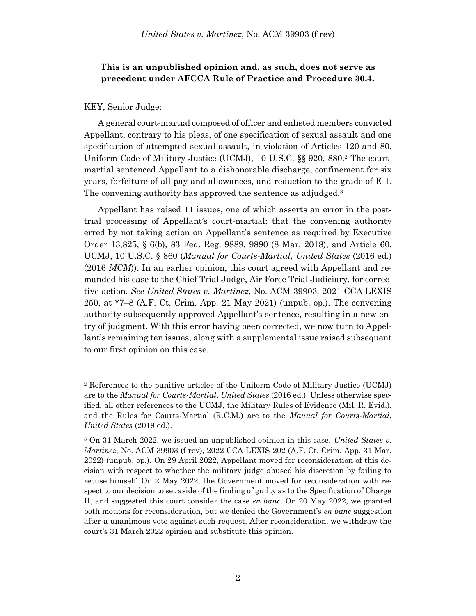# **This is an unpublished opinion and, as such, does not serve as precedent under AFCCA Rule of Practice and Procedure 30.4.**

**\_\_\_\_\_\_\_\_\_\_\_\_\_\_\_\_\_\_\_\_\_\_\_\_**

### KEY, Senior Judge:

A general court-martial composed of officer and enlisted members convicted Appellant, contrary to his pleas, of one specification of sexual assault and one specification of attempted sexual assault, in violation of Articles 120 and 80, Uniform Code of Military Justice (UCMJ), 10 U.S.C. §§ 920, 880.<sup>2</sup> The courtmartial sentenced Appellant to a dishonorable discharge, confinement for six years, forfeiture of all pay and allowances, and reduction to the grade of E-1. The convening authority has approved the sentence as adjudged.<sup>3</sup>

Appellant has raised 11 issues, one of which asserts an error in the posttrial processing of Appellant's court-martial: that the convening authority erred by not taking action on Appellant's sentence as required by Executive Order 13,825, § 6(b), 83 Fed. Reg. 9889, 9890 (8 Mar. 2018), and Article 60, UCMJ, 10 U.S.C. § 860 (*Manual for Courts-Martial*, *United States* (2016 ed.) (2016 *MCM*)). In an earlier opinion, this court agreed with Appellant and remanded his case to the Chief Trial Judge, Air Force Trial Judiciary, for corrective action. *See United States v. Martinez*, No. ACM 39903, 2021 CCA LEXIS 250, at \*7–8 (A.F. Ct. Crim. App. 21 May 2021) (unpub. op.). The convening authority subsequently approved Appellant's sentence, resulting in a new entry of judgment. With this error having been corrected, we now turn to Appellant's remaining ten issues, along with a supplemental issue raised subsequent to our first opinion on this case.

<sup>2</sup> References to the punitive articles of the Uniform Code of Military Justice (UCMJ) are to the *Manual for Courts-Martial*, *United States* (2016 ed.). Unless otherwise specified, all other references to the UCMJ, the Military Rules of Evidence (Mil. R. Evid.), and the Rules for Courts-Martial (R.C.M.) are to the *Manual for Courts-Martial*, *United States* (2019 ed.).

<sup>3</sup> On 31 March 2022, we issued an unpublished opinion in this case. *United States v. Martinez*, No. ACM 39903 (f rev), 2022 CCA LEXIS 202 (A.F. Ct. Crim. App. 31 Mar. 2022) (unpub. op.). On 29 April 2022, Appellant moved for reconsideration of this decision with respect to whether the military judge abused his discretion by failing to recuse himself. On 2 May 2022, the Government moved for reconsideration with respect to our decision to set aside of the finding of guilty as to the Specification of Charge II, and suggested this court consider the case *en banc*. On 20 May 2022, we granted both motions for reconsideration, but we denied the Government's *en banc* suggestion after a unanimous vote against such request. After reconsideration, we withdraw the court's 31 March 2022 opinion and substitute this opinion.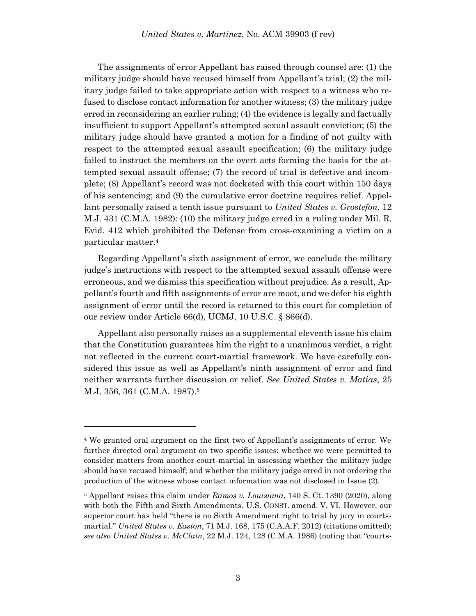The assignments of error Appellant has raised through counsel are: (1) the military judge should have recused himself from Appellant's trial; (2) the military judge failed to take appropriate action with respect to a witness who refused to disclose contact information for another witness; (3) the military judge erred in reconsidering an earlier ruling; (4) the evidence is legally and factually insufficient to support Appellant's attempted sexual assault conviction; (5) the military judge should have granted a motion for a finding of not guilty with respect to the attempted sexual assault specification; (6) the military judge failed to instruct the members on the overt acts forming the basis for the attempted sexual assault offense; (7) the record of trial is defective and incomplete; (8) Appellant's record was not docketed with this court within 150 days of his sentencing; and (9) the cumulative error doctrine requires relief. Appellant personally raised a tenth issue pursuant to *United States v. Grostefon*, 12 M.J. 431 (C.M.A. 1982): (10) the military judge erred in a ruling under Mil. R. Evid. 412 which prohibited the Defense from cross-examining a victim on a particular matter.<sup>4</sup>

Regarding Appellant's sixth assignment of error, we conclude the military judge's instructions with respect to the attempted sexual assault offense were erroneous, and we dismiss this specification without prejudice. As a result, Appellant's fourth and fifth assignments of error are moot, and we defer his eighth assignment of error until the record is returned to this court for completion of our review under Article 66(d), UCMJ, 10 U.S.C. § 866(d).

Appellant also personally raises as a supplemental eleventh issue his claim that the Constitution guarantees him the right to a unanimous verdict, a right not reflected in the current court-martial framework. We have carefully considered this issue as well as Appellant's ninth assignment of error and find neither warrants further discussion or relief. *See United States v. Matias*, 25 M.J. 356, 361 (C.M.A. 1987).<sup>5</sup>

<sup>4</sup> We granted oral argument on the first two of Appellant's assignments of error. We further directed oral argument on two specific issues: whether we were permitted to consider matters from another court-martial in assessing whether the military judge should have recused himself; and whether the military judge erred in not ordering the production of the witness whose contact information was not disclosed in Issue (2).

<sup>5</sup> Appellant raises this claim under *Ramos v. Louisiana*, 140 S. Ct. 1390 (2020), along with both the Fifth and Sixth Amendments. U.S. CONST. amend. V, VI. However, our superior court has held "there is no Sixth Amendment right to trial by jury in courtsmartial." *United States v. Easton*, 71 M.J. 168, 175 (C.A.A.F. 2012) (citations omitted); *see also United States v. McClain*, 22 M.J. 124, 128 (C.M.A. 1986) (noting that "courts-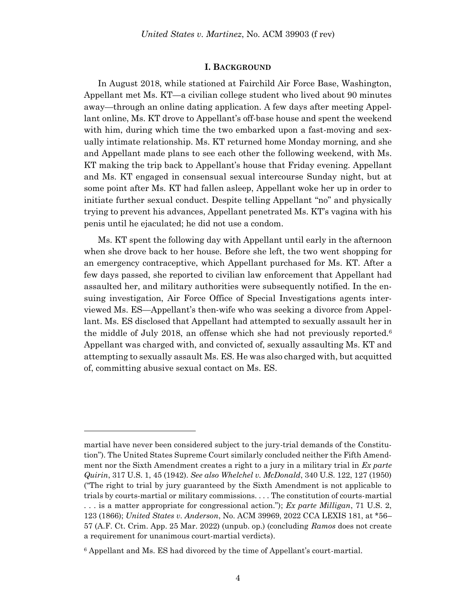#### **I. BACKGROUND**

In August 2018, while stationed at Fairchild Air Force Base, Washington, Appellant met Ms. KT—a civilian college student who lived about 90 minutes away—through an online dating application. A few days after meeting Appellant online, Ms. KT drove to Appellant's off-base house and spent the weekend with him, during which time the two embarked upon a fast-moving and sexually intimate relationship. Ms. KT returned home Monday morning, and she and Appellant made plans to see each other the following weekend, with Ms. KT making the trip back to Appellant's house that Friday evening. Appellant and Ms. KT engaged in consensual sexual intercourse Sunday night, but at some point after Ms. KT had fallen asleep, Appellant woke her up in order to initiate further sexual conduct. Despite telling Appellant "no" and physically trying to prevent his advances, Appellant penetrated Ms. KT's vagina with his penis until he ejaculated; he did not use a condom.

Ms. KT spent the following day with Appellant until early in the afternoon when she drove back to her house. Before she left, the two went shopping for an emergency contraceptive, which Appellant purchased for Ms. KT. After a few days passed, she reported to civilian law enforcement that Appellant had assaulted her, and military authorities were subsequently notified. In the ensuing investigation, Air Force Office of Special Investigations agents interviewed Ms. ES—Appellant's then-wife who was seeking a divorce from Appellant. Ms. ES disclosed that Appellant had attempted to sexually assault her in the middle of July 2018, an offense which she had not previously reported.<sup>6</sup> Appellant was charged with, and convicted of, sexually assaulting Ms. KT and attempting to sexually assault Ms. ES. He was also charged with, but acquitted of, committing abusive sexual contact on Ms. ES.

martial have never been considered subject to the jury-trial demands of the Constitution"). The United States Supreme Court similarly concluded neither the Fifth Amendment nor the Sixth Amendment creates a right to a jury in a military trial in *Ex parte Quirin*, 317 U.S. 1, 45 (1942). *See also Whelchel v. McDonald*, 340 U.S. 122, 127 (1950) ("The right to trial by jury guaranteed by the Sixth Amendment is not applicable to trials by courts-martial or military commissions. . . . The constitution of courts-martial . . . is a matter appropriate for congressional action."); *Ex parte Milligan*, 71 U.S. 2, 123 (1866); *United States v. Anderson*, No. ACM 39969, 2022 CCA LEXIS 181, at \*56– 57 (A.F. Ct. Crim. App. 25 Mar. 2022) (unpub. op.) (concluding *Ramos* does not create a requirement for unanimous court-martial verdicts).

<sup>6</sup> Appellant and Ms. ES had divorced by the time of Appellant's court-martial.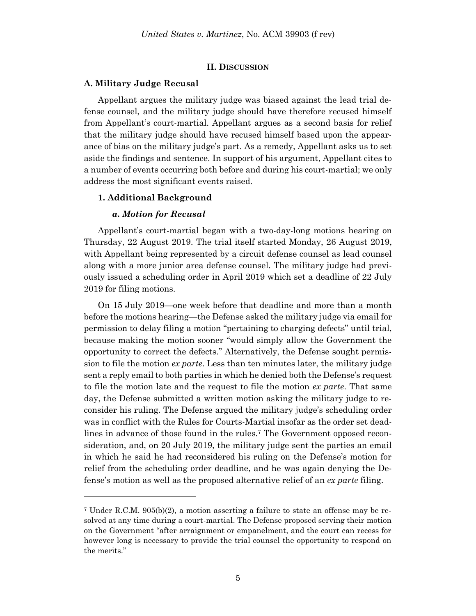#### **II. DISCUSSION**

#### **A. Military Judge Recusal**

Appellant argues the military judge was biased against the lead trial defense counsel, and the military judge should have therefore recused himself from Appellant's court-martial. Appellant argues as a second basis for relief that the military judge should have recused himself based upon the appearance of bias on the military judge's part. As a remedy, Appellant asks us to set aside the findings and sentence. In support of his argument, Appellant cites to a number of events occurring both before and during his court-martial; we only address the most significant events raised.

#### **1. Additional Background**

#### *a. Motion for Recusal*

l

Appellant's court-martial began with a two-day-long motions hearing on Thursday, 22 August 2019. The trial itself started Monday, 26 August 2019, with Appellant being represented by a circuit defense counsel as lead counsel along with a more junior area defense counsel. The military judge had previously issued a scheduling order in April 2019 which set a deadline of 22 July 2019 for filing motions.

On 15 July 2019—one week before that deadline and more than a month before the motions hearing—the Defense asked the military judge via email for permission to delay filing a motion "pertaining to charging defects" until trial, because making the motion sooner "would simply allow the Government the opportunity to correct the defects." Alternatively, the Defense sought permission to file the motion *ex parte*. Less than ten minutes later, the military judge sent a reply email to both parties in which he denied both the Defense's request to file the motion late and the request to file the motion *ex parte*. That same day, the Defense submitted a written motion asking the military judge to reconsider his ruling. The Defense argued the military judge's scheduling order was in conflict with the Rules for Courts-Martial insofar as the order set deadlines in advance of those found in the rules.<sup>7</sup> The Government opposed reconsideration, and, on 20 July 2019, the military judge sent the parties an email in which he said he had reconsidered his ruling on the Defense's motion for relief from the scheduling order deadline, and he was again denying the Defense's motion as well as the proposed alternative relief of an *ex parte* filing.

<sup>7</sup> Under R.C.M. 905(b)(2), a motion asserting a failure to state an offense may be resolved at any time during a court-martial. The Defense proposed serving their motion on the Government "after arraignment or empanelment, and the court can recess for however long is necessary to provide the trial counsel the opportunity to respond on the merits."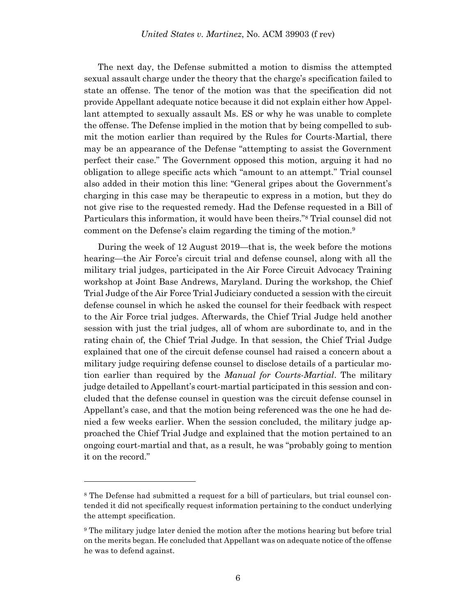The next day, the Defense submitted a motion to dismiss the attempted sexual assault charge under the theory that the charge's specification failed to state an offense. The tenor of the motion was that the specification did not provide Appellant adequate notice because it did not explain either how Appellant attempted to sexually assault Ms. ES or why he was unable to complete the offense. The Defense implied in the motion that by being compelled to submit the motion earlier than required by the Rules for Courts-Martial, there may be an appearance of the Defense "attempting to assist the Government perfect their case." The Government opposed this motion, arguing it had no obligation to allege specific acts which "amount to an attempt." Trial counsel also added in their motion this line: "General gripes about the Government's charging in this case may be therapeutic to express in a motion, but they do not give rise to the requested remedy. Had the Defense requested in a Bill of Particulars this information, it would have been theirs."<sup>8</sup> Trial counsel did not comment on the Defense's claim regarding the timing of the motion.<sup>9</sup>

During the week of 12 August 2019—that is, the week before the motions hearing—the Air Force's circuit trial and defense counsel, along with all the military trial judges, participated in the Air Force Circuit Advocacy Training workshop at Joint Base Andrews, Maryland. During the workshop, the Chief Trial Judge of the Air Force Trial Judiciary conducted a session with the circuit defense counsel in which he asked the counsel for their feedback with respect to the Air Force trial judges. Afterwards, the Chief Trial Judge held another session with just the trial judges, all of whom are subordinate to, and in the rating chain of, the Chief Trial Judge. In that session, the Chief Trial Judge explained that one of the circuit defense counsel had raised a concern about a military judge requiring defense counsel to disclose details of a particular motion earlier than required by the *Manual for Courts-Martial*. The military judge detailed to Appellant's court-martial participated in this session and concluded that the defense counsel in question was the circuit defense counsel in Appellant's case, and that the motion being referenced was the one he had denied a few weeks earlier. When the session concluded, the military judge approached the Chief Trial Judge and explained that the motion pertained to an ongoing court-martial and that, as a result, he was "probably going to mention it on the record."

<sup>&</sup>lt;sup>8</sup> The Defense had submitted a request for a bill of particulars, but trial counsel contended it did not specifically request information pertaining to the conduct underlying the attempt specification.

<sup>9</sup> The military judge later denied the motion after the motions hearing but before trial on the merits began. He concluded that Appellant was on adequate notice of the offense he was to defend against.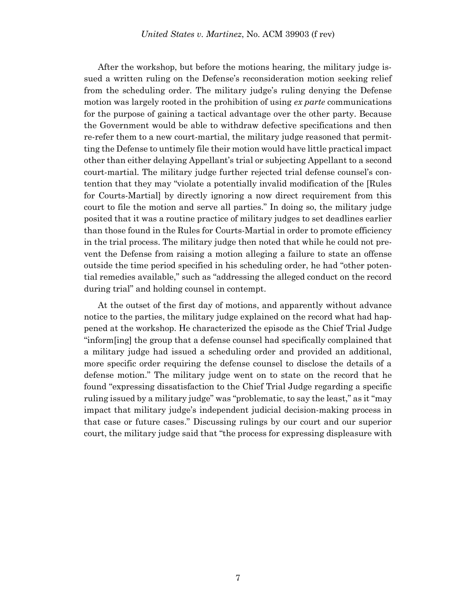After the workshop, but before the motions hearing, the military judge issued a written ruling on the Defense's reconsideration motion seeking relief from the scheduling order. The military judge's ruling denying the Defense motion was largely rooted in the prohibition of using *ex parte* communications for the purpose of gaining a tactical advantage over the other party. Because the Government would be able to withdraw defective specifications and then re-refer them to a new court-martial, the military judge reasoned that permitting the Defense to untimely file their motion would have little practical impact other than either delaying Appellant's trial or subjecting Appellant to a second court-martial. The military judge further rejected trial defense counsel's contention that they may "violate a potentially invalid modification of the [Rules for Courts-Martial] by directly ignoring a now direct requirement from this court to file the motion and serve all parties." In doing so, the military judge posited that it was a routine practice of military judges to set deadlines earlier than those found in the Rules for Courts-Martial in order to promote efficiency in the trial process. The military judge then noted that while he could not prevent the Defense from raising a motion alleging a failure to state an offense outside the time period specified in his scheduling order, he had "other potential remedies available," such as "addressing the alleged conduct on the record during trial" and holding counsel in contempt.

At the outset of the first day of motions, and apparently without advance notice to the parties, the military judge explained on the record what had happened at the workshop. He characterized the episode as the Chief Trial Judge "inform[ing] the group that a defense counsel had specifically complained that a military judge had issued a scheduling order and provided an additional, more specific order requiring the defense counsel to disclose the details of a defense motion." The military judge went on to state on the record that he found "expressing dissatisfaction to the Chief Trial Judge regarding a specific ruling issued by a military judge" was "problematic, to say the least," as it "may impact that military judge's independent judicial decision-making process in that case or future cases." Discussing rulings by our court and our superior court, the military judge said that "the process for expressing displeasure with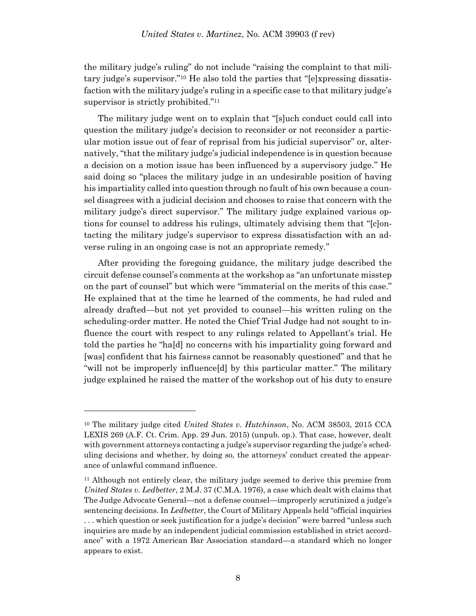the military judge's ruling" do not include "raising the complaint to that military judge's supervisor."<sup>10</sup> He also told the parties that "[e]xpressing dissatisfaction with the military judge's ruling in a specific case to that military judge's supervisor is strictly prohibited."<sup>11</sup>

The military judge went on to explain that "[s]uch conduct could call into question the military judge's decision to reconsider or not reconsider a particular motion issue out of fear of reprisal from his judicial supervisor" or, alternatively, "that the military judge's judicial independence is in question because a decision on a motion issue has been influenced by a supervisory judge." He said doing so "places the military judge in an undesirable position of having his impartiality called into question through no fault of his own because a counsel disagrees with a judicial decision and chooses to raise that concern with the military judge's direct supervisor." The military judge explained various options for counsel to address his rulings, ultimately advising them that "[c]ontacting the military judge's supervisor to express dissatisfaction with an adverse ruling in an ongoing case is not an appropriate remedy."

After providing the foregoing guidance, the military judge described the circuit defense counsel's comments at the workshop as "an unfortunate misstep on the part of counsel" but which were "immaterial on the merits of this case." He explained that at the time he learned of the comments, he had ruled and already drafted—but not yet provided to counsel—his written ruling on the scheduling-order matter. He noted the Chief Trial Judge had not sought to influence the court with respect to any rulings related to Appellant's trial. He told the parties he "ha[d] no concerns with his impartiality going forward and [was] confident that his fairness cannot be reasonably questioned" and that he "will not be improperly influence[d] by this particular matter." The military judge explained he raised the matter of the workshop out of his duty to ensure

<sup>10</sup> The military judge cited *United States v. Hutchinson*, No. ACM 38503, 2015 CCA LEXIS 269 (A.F. Ct. Crim. App. 29 Jun. 2015) (unpub. op.). That case, however, dealt with government attorneys contacting a judge's supervisor regarding the judge's scheduling decisions and whether, by doing so, the attorneys' conduct created the appearance of unlawful command influence.

<sup>11</sup> Although not entirely clear, the military judge seemed to derive this premise from *United States v. Ledbetter*, 2 M.J. 37 (C.M.A. 1976), a case which dealt with claims that The Judge Advocate General—not a defense counsel—improperly scrutinized a judge's sentencing decisions. In *Ledbetter*, the Court of Military Appeals held "official inquiries . . . which question or seek justification for a judge's decision" were barred "unless such inquiries are made by an independent judicial commission established in strict accordance" with a 1972 American Bar Association standard—a standard which no longer appears to exist.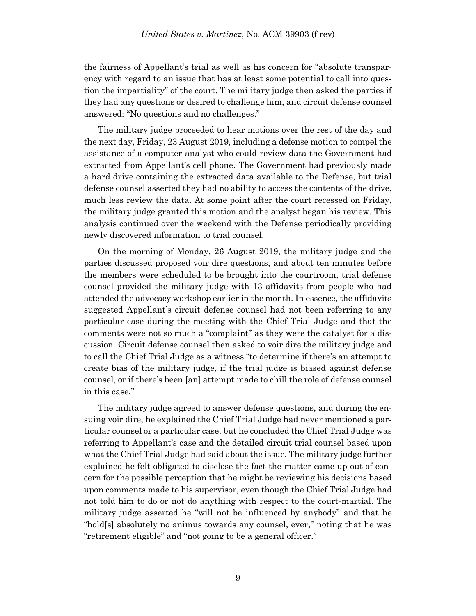the fairness of Appellant's trial as well as his concern for "absolute transparency with regard to an issue that has at least some potential to call into question the impartiality" of the court. The military judge then asked the parties if they had any questions or desired to challenge him, and circuit defense counsel answered: "No questions and no challenges."

The military judge proceeded to hear motions over the rest of the day and the next day, Friday, 23 August 2019, including a defense motion to compel the assistance of a computer analyst who could review data the Government had extracted from Appellant's cell phone. The Government had previously made a hard drive containing the extracted data available to the Defense, but trial defense counsel asserted they had no ability to access the contents of the drive, much less review the data. At some point after the court recessed on Friday, the military judge granted this motion and the analyst began his review. This analysis continued over the weekend with the Defense periodically providing newly discovered information to trial counsel.

On the morning of Monday, 26 August 2019, the military judge and the parties discussed proposed voir dire questions, and about ten minutes before the members were scheduled to be brought into the courtroom, trial defense counsel provided the military judge with 13 affidavits from people who had attended the advocacy workshop earlier in the month. In essence, the affidavits suggested Appellant's circuit defense counsel had not been referring to any particular case during the meeting with the Chief Trial Judge and that the comments were not so much a "complaint" as they were the catalyst for a discussion. Circuit defense counsel then asked to voir dire the military judge and to call the Chief Trial Judge as a witness "to determine if there's an attempt to create bias of the military judge, if the trial judge is biased against defense counsel, or if there's been [an] attempt made to chill the role of defense counsel in this case."

The military judge agreed to answer defense questions, and during the ensuing voir dire, he explained the Chief Trial Judge had never mentioned a particular counsel or a particular case, but he concluded the Chief Trial Judge was referring to Appellant's case and the detailed circuit trial counsel based upon what the Chief Trial Judge had said about the issue. The military judge further explained he felt obligated to disclose the fact the matter came up out of concern for the possible perception that he might be reviewing his decisions based upon comments made to his supervisor, even though the Chief Trial Judge had not told him to do or not do anything with respect to the court-martial. The military judge asserted he "will not be influenced by anybody" and that he "hold[s] absolutely no animus towards any counsel, ever," noting that he was "retirement eligible" and "not going to be a general officer."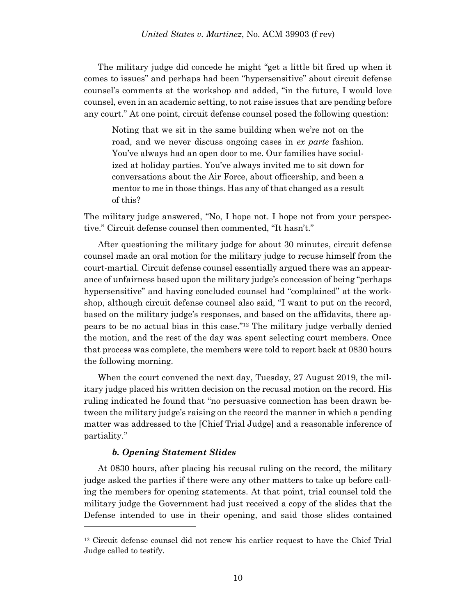The military judge did concede he might "get a little bit fired up when it comes to issues" and perhaps had been "hypersensitive" about circuit defense counsel's comments at the workshop and added, "in the future, I would love counsel, even in an academic setting, to not raise issues that are pending before any court." At one point, circuit defense counsel posed the following question:

Noting that we sit in the same building when we're not on the road, and we never discuss ongoing cases in *ex parte* fashion. You've always had an open door to me. Our families have socialized at holiday parties. You've always invited me to sit down for conversations about the Air Force, about officership, and been a mentor to me in those things. Has any of that changed as a result of this?

The military judge answered, "No, I hope not. I hope not from your perspective." Circuit defense counsel then commented, "It hasn't."

After questioning the military judge for about 30 minutes, circuit defense counsel made an oral motion for the military judge to recuse himself from the court-martial. Circuit defense counsel essentially argued there was an appearance of unfairness based upon the military judge's concession of being "perhaps hypersensitive" and having concluded counsel had "complained" at the workshop, although circuit defense counsel also said, "I want to put on the record, based on the military judge's responses, and based on the affidavits, there appears to be no actual bias in this case."<sup>12</sup> The military judge verbally denied the motion, and the rest of the day was spent selecting court members. Once that process was complete, the members were told to report back at 0830 hours the following morning.

When the court convened the next day, Tuesday, 27 August 2019, the military judge placed his written decision on the recusal motion on the record. His ruling indicated he found that "no persuasive connection has been drawn between the military judge's raising on the record the manner in which a pending matter was addressed to the [Chief Trial Judge] and a reasonable inference of partiality."

#### *b. Opening Statement Slides*

l

At 0830 hours, after placing his recusal ruling on the record, the military judge asked the parties if there were any other matters to take up before calling the members for opening statements. At that point, trial counsel told the military judge the Government had just received a copy of the slides that the Defense intended to use in their opening, and said those slides contained

<sup>12</sup> Circuit defense counsel did not renew his earlier request to have the Chief Trial Judge called to testify.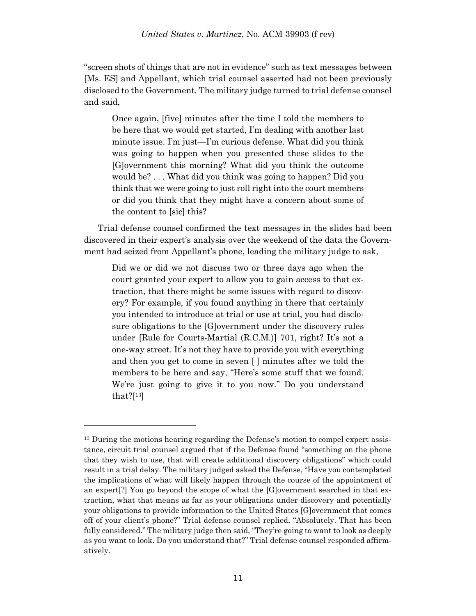"screen shots of things that are not in evidence" such as text messages between [Ms. ES] and Appellant, which trial counsel asserted had not been previously disclosed to the Government. The military judge turned to trial defense counsel and said,

Once again, [five] minutes after the time I told the members to be here that we would get started, I'm dealing with another last minute issue. I'm just—I'm curious defense. What did you think was going to happen when you presented these slides to the [G]overnment this morning? What did you think the outcome would be? . . . What did you think was going to happen? Did you think that we were going to just roll right into the court members or did you think that they might have a concern about some of the content to [sic] this?

Trial defense counsel confirmed the text messages in the slides had been discovered in their expert's analysis over the weekend of the data the Government had seized from Appellant's phone, leading the military judge to ask,

Did we or did we not discuss two or three days ago when the court granted your expert to allow you to gain access to that extraction, that there might be some issues with regard to discovery? For example, if you found anything in there that certainly you intended to introduce at trial or use at trial, you had disclosure obligations to the [G]overnment under the discovery rules under [Rule for Courts-Martial (R.C.M.)] 701, right? It's not a one-way street. It's not they have to provide you with everything and then you get to come in seven [ ] minutes after we told the members to be here and say, "Here's some stuff that we found. We're just going to give it to you now." Do you understand that?[ <sup>13</sup>]

<sup>&</sup>lt;sup>13</sup> During the motions hearing regarding the Defense's motion to compel expert assistance, circuit trial counsel argued that if the Defense found "something on the phone that they wish to use, that will create additional discovery obligations" which could result in a trial delay. The military judged asked the Defense, "Have you contemplated the implications of what will likely happen through the course of the appointment of an expert[?] You go beyond the scope of what the [G]overnment searched in that extraction, what that means as far as your obligations under discovery and potentially your obligations to provide information to the United States [G]overnment that comes off of your client's phone?" Trial defense counsel replied, "Absolutely. That has been fully considered." The military judge then said, "They're going to want to look as deeply as you want to look. Do you understand that?" Trial defense counsel responded affirmatively.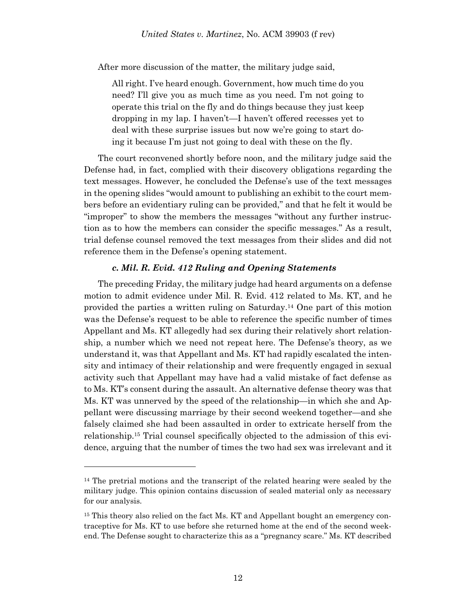After more discussion of the matter, the military judge said,

All right. I've heard enough. Government, how much time do you need? I'll give you as much time as you need. I'm not going to operate this trial on the fly and do things because they just keep dropping in my lap. I haven't—I haven't offered recesses yet to deal with these surprise issues but now we're going to start doing it because I'm just not going to deal with these on the fly.

The court reconvened shortly before noon, and the military judge said the Defense had, in fact, complied with their discovery obligations regarding the text messages. However, he concluded the Defense's use of the text messages in the opening slides "would amount to publishing an exhibit to the court members before an evidentiary ruling can be provided," and that he felt it would be "improper" to show the members the messages "without any further instruction as to how the members can consider the specific messages." As a result, trial defense counsel removed the text messages from their slides and did not reference them in the Defense's opening statement.

### *c. Mil. R. Evid. 412 Ruling and Opening Statements*

The preceding Friday, the military judge had heard arguments on a defense motion to admit evidence under Mil. R. Evid. 412 related to Ms. KT, and he provided the parties a written ruling on Saturday. <sup>14</sup> One part of this motion was the Defense's request to be able to reference the specific number of times Appellant and Ms. KT allegedly had sex during their relatively short relationship, a number which we need not repeat here. The Defense's theory, as we understand it, was that Appellant and Ms. KT had rapidly escalated the intensity and intimacy of their relationship and were frequently engaged in sexual activity such that Appellant may have had a valid mistake of fact defense as to Ms. KT's consent during the assault. An alternative defense theory was that Ms. KT was unnerved by the speed of the relationship—in which she and Appellant were discussing marriage by their second weekend together—and she falsely claimed she had been assaulted in order to extricate herself from the relationship. <sup>15</sup> Trial counsel specifically objected to the admission of this evidence, arguing that the number of times the two had sex was irrelevant and it

<sup>&</sup>lt;sup>14</sup> The pretrial motions and the transcript of the related hearing were sealed by the military judge. This opinion contains discussion of sealed material only as necessary for our analysis.

<sup>&</sup>lt;sup>15</sup> This theory also relied on the fact Ms. KT and Appellant bought an emergency contraceptive for Ms. KT to use before she returned home at the end of the second weekend. The Defense sought to characterize this as a "pregnancy scare." Ms. KT described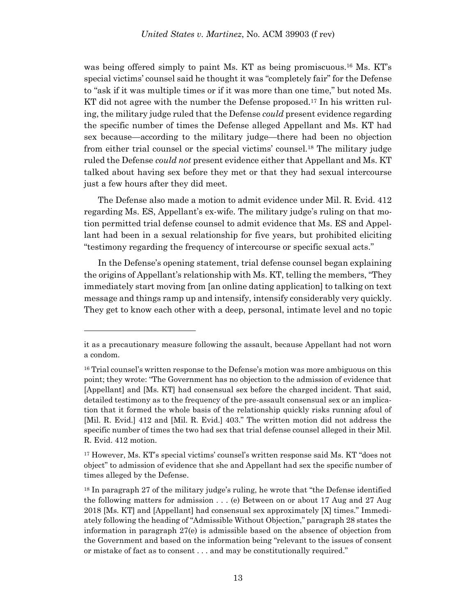was being offered simply to paint Ms. KT as being promiscuous.<sup>16</sup> Ms. KT's special victims' counsel said he thought it was "completely fair" for the Defense to "ask if it was multiple times or if it was more than one time," but noted Ms. KT did not agree with the number the Defense proposed.<sup>17</sup> In his written ruling, the military judge ruled that the Defense *could* present evidence regarding the specific number of times the Defense alleged Appellant and Ms. KT had sex because—according to the military judge—there had been no objection from either trial counsel or the special victims' counsel.<sup>18</sup> The military judge ruled the Defense *could not* present evidence either that Appellant and Ms. KT talked about having sex before they met or that they had sexual intercourse just a few hours after they did meet.

The Defense also made a motion to admit evidence under Mil. R. Evid. 412 regarding Ms. ES, Appellant's ex-wife. The military judge's ruling on that motion permitted trial defense counsel to admit evidence that Ms. ES and Appellant had been in a sexual relationship for five years, but prohibited eliciting "testimony regarding the frequency of intercourse or specific sexual acts."

In the Defense's opening statement, trial defense counsel began explaining the origins of Appellant's relationship with Ms. KT, telling the members, "They immediately start moving from [an online dating application] to talking on text message and things ramp up and intensify, intensify considerably very quickly. They get to know each other with a deep, personal, intimate level and no topic

it as a precautionary measure following the assault, because Appellant had not worn a condom.

<sup>&</sup>lt;sup>16</sup> Trial counsel's written response to the Defense's motion was more ambiguous on this point; they wrote: "The Government has no objection to the admission of evidence that [Appellant] and [Ms. KT] had consensual sex before the charged incident. That said, detailed testimony as to the frequency of the pre-assault consensual sex or an implication that it formed the whole basis of the relationship quickly risks running afoul of [Mil. R. Evid.] 412 and [Mil. R. Evid.] 403." The written motion did not address the specific number of times the two had sex that trial defense counsel alleged in their Mil. R. Evid. 412 motion.

<sup>17</sup> However, Ms. KT's special victims' counsel's written response said Ms. KT "does not object" to admission of evidence that she and Appellant had sex the specific number of times alleged by the Defense.

<sup>18</sup> In paragraph 27 of the military judge's ruling, he wrote that "the Defense identified the following matters for admission . . . (e) Between on or about 17 Aug and 27 Aug 2018 [Ms. KT] and [Appellant] had consensual sex approximately [X] times." Immediately following the heading of "Admissible Without Objection," paragraph 28 states the information in paragraph 27(e) is admissible based on the absence of objection from the Government and based on the information being "relevant to the issues of consent or mistake of fact as to consent . . . and may be constitutionally required."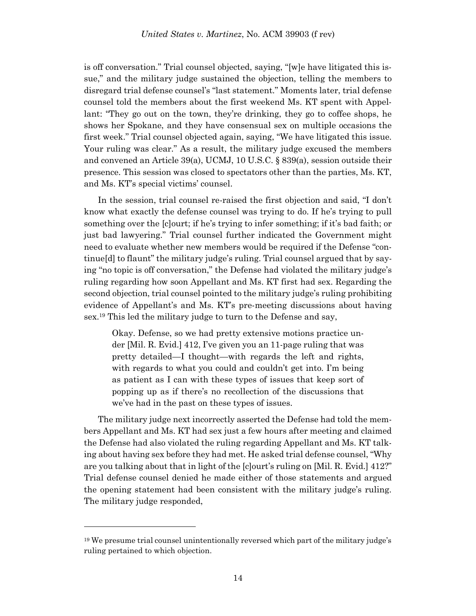is off conversation." Trial counsel objected, saying, "[w]e have litigated this issue," and the military judge sustained the objection, telling the members to disregard trial defense counsel's "last statement." Moments later, trial defense counsel told the members about the first weekend Ms. KT spent with Appellant: "They go out on the town, they're drinking, they go to coffee shops, he shows her Spokane, and they have consensual sex on multiple occasions the first week." Trial counsel objected again, saying, "We have litigated this issue. Your ruling was clear." As a result, the military judge excused the members and convened an Article 39(a), UCMJ, 10 U.S.C. § 839(a), session outside their presence. This session was closed to spectators other than the parties, Ms. KT, and Ms. KT's special victims' counsel.

In the session, trial counsel re-raised the first objection and said, "I don't know what exactly the defense counsel was trying to do. If he's trying to pull something over the [c]ourt; if he's trying to infer something; if it's bad faith; or just bad lawyering." Trial counsel further indicated the Government might need to evaluate whether new members would be required if the Defense "continue[d] to flaunt" the military judge's ruling. Trial counsel argued that by saying "no topic is off conversation," the Defense had violated the military judge's ruling regarding how soon Appellant and Ms. KT first had sex. Regarding the second objection, trial counsel pointed to the military judge's ruling prohibiting evidence of Appellant's and Ms. KT's pre-meeting discussions about having sex. <sup>19</sup> This led the military judge to turn to the Defense and say,

Okay. Defense, so we had pretty extensive motions practice under [Mil. R. Evid.] 412, I've given you an 11-page ruling that was pretty detailed—I thought—with regards the left and rights, with regards to what you could and couldn't get into. I'm being as patient as I can with these types of issues that keep sort of popping up as if there's no recollection of the discussions that we've had in the past on these types of issues.

The military judge next incorrectly asserted the Defense had told the members Appellant and Ms. KT had sex just a few hours after meeting and claimed the Defense had also violated the ruling regarding Appellant and Ms. KT talking about having sex before they had met. He asked trial defense counsel, "Why are you talking about that in light of the [c]ourt's ruling on [Mil. R. Evid.] 412?" Trial defense counsel denied he made either of those statements and argued the opening statement had been consistent with the military judge's ruling. The military judge responded,

<sup>19</sup> We presume trial counsel unintentionally reversed which part of the military judge's ruling pertained to which objection.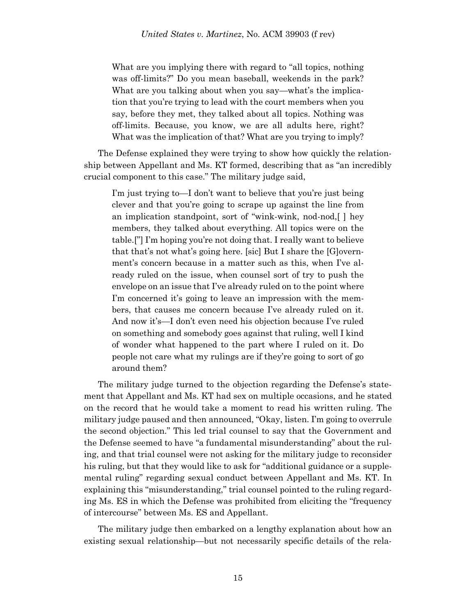What are you implying there with regard to "all topics, nothing was off-limits?" Do you mean baseball, weekends in the park? What are you talking about when you say—what's the implication that you're trying to lead with the court members when you say, before they met, they talked about all topics. Nothing was off-limits. Because, you know, we are all adults here, right? What was the implication of that? What are you trying to imply?

The Defense explained they were trying to show how quickly the relationship between Appellant and Ms. KT formed, describing that as "an incredibly crucial component to this case." The military judge said,

I'm just trying to—I don't want to believe that you're just being clever and that you're going to scrape up against the line from an implication standpoint, sort of "wink-wink, nod-nod,[ ] hey members, they talked about everything. All topics were on the table.["] I'm hoping you're not doing that. I really want to believe that that's not what's going here. [sic] But I share the [G]overnment's concern because in a matter such as this, when I've already ruled on the issue, when counsel sort of try to push the envelope on an issue that I've already ruled on to the point where I'm concerned it's going to leave an impression with the members, that causes me concern because I've already ruled on it. And now it's—I don't even need his objection because I've ruled on something and somebody goes against that ruling, well I kind of wonder what happened to the part where I ruled on it. Do people not care what my rulings are if they're going to sort of go around them?

The military judge turned to the objection regarding the Defense's statement that Appellant and Ms. KT had sex on multiple occasions, and he stated on the record that he would take a moment to read his written ruling. The military judge paused and then announced, "Okay, listen. I'm going to overrule the second objection." This led trial counsel to say that the Government and the Defense seemed to have "a fundamental misunderstanding" about the ruling, and that trial counsel were not asking for the military judge to reconsider his ruling, but that they would like to ask for "additional guidance or a supplemental ruling" regarding sexual conduct between Appellant and Ms. KT. In explaining this "misunderstanding," trial counsel pointed to the ruling regarding Ms. ES in which the Defense was prohibited from eliciting the "frequency of intercourse" between Ms. ES and Appellant.

The military judge then embarked on a lengthy explanation about how an existing sexual relationship—but not necessarily specific details of the rela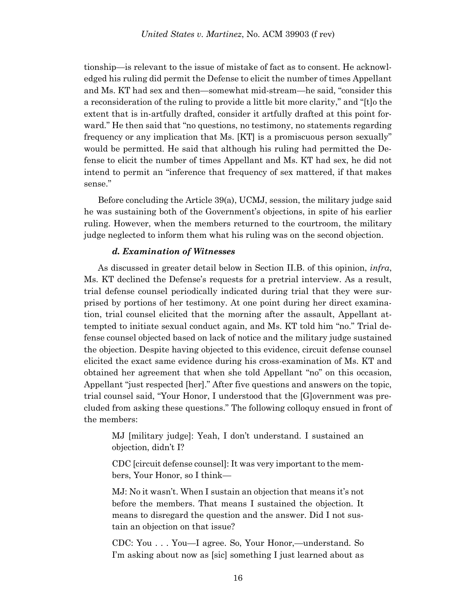tionship—is relevant to the issue of mistake of fact as to consent. He acknowledged his ruling did permit the Defense to elicit the number of times Appellant and Ms. KT had sex and then—somewhat mid-stream—he said, "consider this a reconsideration of the ruling to provide a little bit more clarity," and "[t]o the extent that is in-artfully drafted, consider it artfully drafted at this point forward." He then said that "no questions, no testimony, no statements regarding frequency or any implication that Ms. [KT] is a promiscuous person sexually" would be permitted. He said that although his ruling had permitted the Defense to elicit the number of times Appellant and Ms. KT had sex, he did not intend to permit an "inference that frequency of sex mattered, if that makes sense."

Before concluding the Article 39(a), UCMJ, session, the military judge said he was sustaining both of the Government's objections, in spite of his earlier ruling. However, when the members returned to the courtroom, the military judge neglected to inform them what his ruling was on the second objection.

### *d. Examination of Witnesses*

As discussed in greater detail below in Section II.B. of this opinion, *infra*, Ms. KT declined the Defense's requests for a pretrial interview. As a result, trial defense counsel periodically indicated during trial that they were surprised by portions of her testimony. At one point during her direct examination, trial counsel elicited that the morning after the assault, Appellant attempted to initiate sexual conduct again, and Ms. KT told him "no." Trial defense counsel objected based on lack of notice and the military judge sustained the objection. Despite having objected to this evidence, circuit defense counsel elicited the exact same evidence during his cross-examination of Ms. KT and obtained her agreement that when she told Appellant "no" on this occasion, Appellant "just respected [her]." After five questions and answers on the topic, trial counsel said, "Your Honor, I understood that the [G]overnment was precluded from asking these questions." The following colloquy ensued in front of the members:

MJ [military judge]: Yeah, I don't understand. I sustained an objection, didn't I?

CDC [circuit defense counsel]: It was very important to the members, Your Honor, so I think—

MJ: No it wasn't. When I sustain an objection that means it's not before the members. That means I sustained the objection. It means to disregard the question and the answer. Did I not sustain an objection on that issue?

CDC: You . . . You—I agree. So, Your Honor,—understand. So I'm asking about now as [sic] something I just learned about as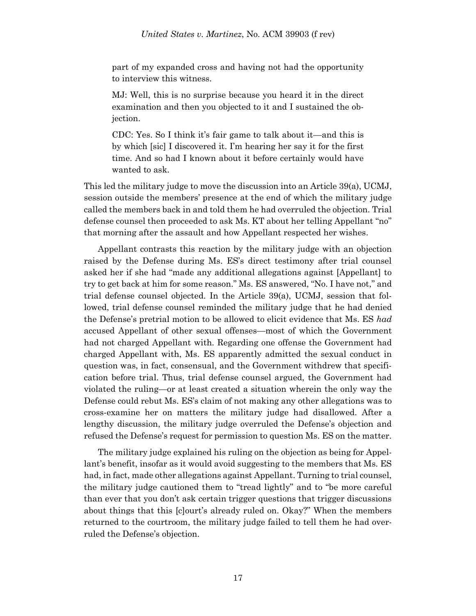part of my expanded cross and having not had the opportunity to interview this witness.

MJ: Well, this is no surprise because you heard it in the direct examination and then you objected to it and I sustained the objection.

CDC: Yes. So I think it's fair game to talk about it—and this is by which [sic] I discovered it. I'm hearing her say it for the first time. And so had I known about it before certainly would have wanted to ask.

This led the military judge to move the discussion into an Article 39(a), UCMJ, session outside the members' presence at the end of which the military judge called the members back in and told them he had overruled the objection. Trial defense counsel then proceeded to ask Ms. KT about her telling Appellant "no" that morning after the assault and how Appellant respected her wishes.

Appellant contrasts this reaction by the military judge with an objection raised by the Defense during Ms. ES's direct testimony after trial counsel asked her if she had "made any additional allegations against [Appellant] to try to get back at him for some reason." Ms. ES answered, "No. I have not," and trial defense counsel objected. In the Article 39(a), UCMJ, session that followed, trial defense counsel reminded the military judge that he had denied the Defense's pretrial motion to be allowed to elicit evidence that Ms. ES *had* accused Appellant of other sexual offenses—most of which the Government had not charged Appellant with. Regarding one offense the Government had charged Appellant with, Ms. ES apparently admitted the sexual conduct in question was, in fact, consensual, and the Government withdrew that specification before trial. Thus, trial defense counsel argued, the Government had violated the ruling—or at least created a situation wherein the only way the Defense could rebut Ms. ES's claim of not making any other allegations was to cross-examine her on matters the military judge had disallowed. After a lengthy discussion, the military judge overruled the Defense's objection and refused the Defense's request for permission to question Ms. ES on the matter.

The military judge explained his ruling on the objection as being for Appellant's benefit, insofar as it would avoid suggesting to the members that Ms. ES had, in fact, made other allegations against Appellant. Turning to trial counsel, the military judge cautioned them to "tread lightly" and to "be more careful than ever that you don't ask certain trigger questions that trigger discussions about things that this [c]ourt's already ruled on. Okay?" When the members returned to the courtroom, the military judge failed to tell them he had overruled the Defense's objection.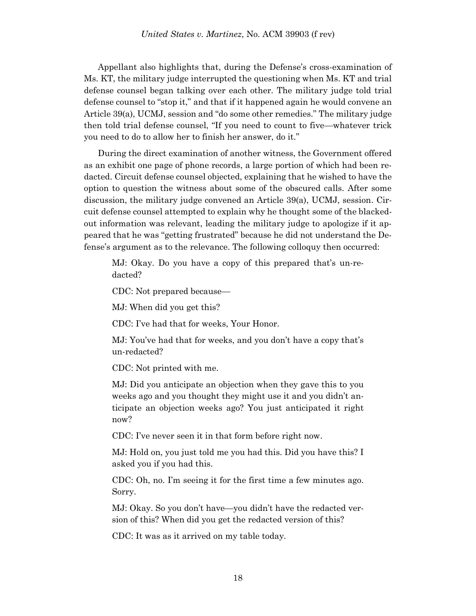Appellant also highlights that, during the Defense's cross-examination of Ms. KT, the military judge interrupted the questioning when Ms. KT and trial defense counsel began talking over each other. The military judge told trial defense counsel to "stop it," and that if it happened again he would convene an Article 39(a), UCMJ, session and "do some other remedies." The military judge then told trial defense counsel, "If you need to count to five—whatever trick you need to do to allow her to finish her answer, do it."

During the direct examination of another witness, the Government offered as an exhibit one page of phone records, a large portion of which had been redacted. Circuit defense counsel objected, explaining that he wished to have the option to question the witness about some of the obscured calls. After some discussion, the military judge convened an Article 39(a), UCMJ, session. Circuit defense counsel attempted to explain why he thought some of the blackedout information was relevant, leading the military judge to apologize if it appeared that he was "getting frustrated" because he did not understand the Defense's argument as to the relevance. The following colloquy then occurred:

MJ: Okay. Do you have a copy of this prepared that's un-redacted?

CDC: Not prepared because—

MJ: When did you get this?

CDC: I've had that for weeks, Your Honor.

MJ: You've had that for weeks, and you don't have a copy that's un-redacted?

CDC: Not printed with me.

MJ: Did you anticipate an objection when they gave this to you weeks ago and you thought they might use it and you didn't anticipate an objection weeks ago? You just anticipated it right now?

CDC: I've never seen it in that form before right now.

MJ: Hold on, you just told me you had this. Did you have this? I asked you if you had this.

CDC: Oh, no. I'm seeing it for the first time a few minutes ago. Sorry.

MJ: Okay. So you don't have—you didn't have the redacted version of this? When did you get the redacted version of this?

CDC: It was as it arrived on my table today.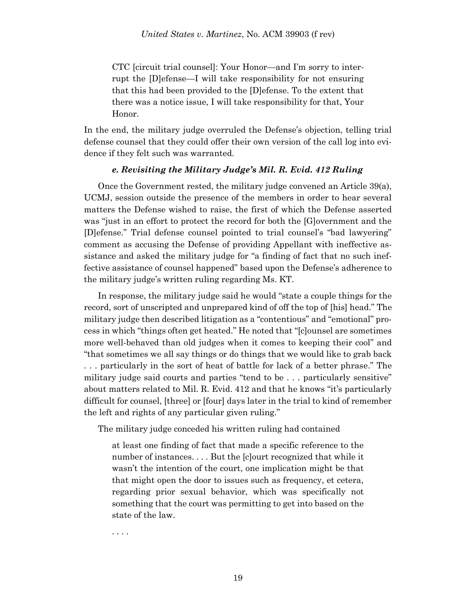CTC [circuit trial counsel]: Your Honor—and I'm sorry to interrupt the [D]efense—I will take responsibility for not ensuring that this had been provided to the [D]efense. To the extent that there was a notice issue, I will take responsibility for that, Your Honor.

In the end, the military judge overruled the Defense's objection, telling trial defense counsel that they could offer their own version of the call log into evidence if they felt such was warranted.

### *e. Revisiting the Military Judge's Mil. R. Evid. 412 Ruling*

Once the Government rested, the military judge convened an Article 39(a), UCMJ, session outside the presence of the members in order to hear several matters the Defense wished to raise, the first of which the Defense asserted was "just in an effort to protect the record for both the [G]overnment and the [D]efense." Trial defense counsel pointed to trial counsel's "bad lawyering" comment as accusing the Defense of providing Appellant with ineffective assistance and asked the military judge for "a finding of fact that no such ineffective assistance of counsel happened" based upon the Defense's adherence to the military judge's written ruling regarding Ms. KT.

In response, the military judge said he would "state a couple things for the record, sort of unscripted and unprepared kind of off the top of [his] head." The military judge then described litigation as a "contentious" and "emotional" process in which "things often get heated." He noted that "[c]ounsel are sometimes more well-behaved than old judges when it comes to keeping their cool" and "that sometimes we all say things or do things that we would like to grab back . . . particularly in the sort of heat of battle for lack of a better phrase." The military judge said courts and parties "tend to be . . . particularly sensitive" about matters related to Mil. R. Evid. 412 and that he knows "it's particularly difficult for counsel, [three] or [four] days later in the trial to kind of remember the left and rights of any particular given ruling."

The military judge conceded his written ruling had contained

at least one finding of fact that made a specific reference to the number of instances. . . . But the [c]ourt recognized that while it wasn't the intention of the court, one implication might be that that might open the door to issues such as frequency, et cetera, regarding prior sexual behavior, which was specifically not something that the court was permitting to get into based on the state of the law.

. . . .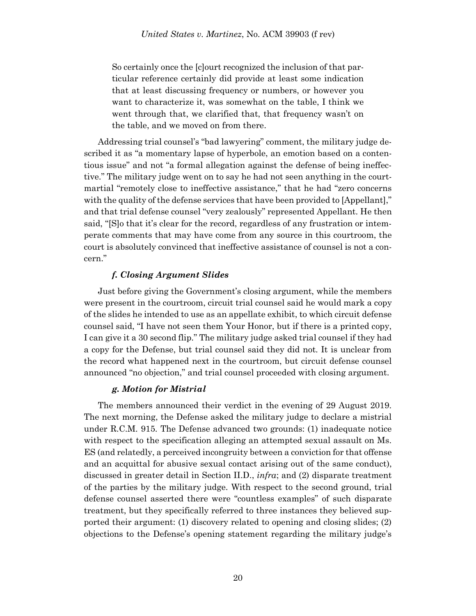So certainly once the [c]ourt recognized the inclusion of that particular reference certainly did provide at least some indication that at least discussing frequency or numbers, or however you want to characterize it, was somewhat on the table, I think we went through that, we clarified that, that frequency wasn't on the table, and we moved on from there.

Addressing trial counsel's "bad lawyering" comment, the military judge described it as "a momentary lapse of hyperbole, an emotion based on a contentious issue" and not "a formal allegation against the defense of being ineffective." The military judge went on to say he had not seen anything in the courtmartial "remotely close to ineffective assistance," that he had "zero concerns with the quality of the defense services that have been provided to [Appellant]," and that trial defense counsel "very zealously" represented Appellant. He then said, "[S]o that it's clear for the record, regardless of any frustration or intemperate comments that may have come from any source in this courtroom, the court is absolutely convinced that ineffective assistance of counsel is not a concern."

### *f. Closing Argument Slides*

Just before giving the Government's closing argument, while the members were present in the courtroom, circuit trial counsel said he would mark a copy of the slides he intended to use as an appellate exhibit, to which circuit defense counsel said, "I have not seen them Your Honor, but if there is a printed copy, I can give it a 30 second flip." The military judge asked trial counsel if they had a copy for the Defense, but trial counsel said they did not. It is unclear from the record what happened next in the courtroom, but circuit defense counsel announced "no objection," and trial counsel proceeded with closing argument.

### *g. Motion for Mistrial*

The members announced their verdict in the evening of 29 August 2019. The next morning, the Defense asked the military judge to declare a mistrial under R.C.M. 915. The Defense advanced two grounds: (1) inadequate notice with respect to the specification alleging an attempted sexual assault on Ms. ES (and relatedly, a perceived incongruity between a conviction for that offense and an acquittal for abusive sexual contact arising out of the same conduct), discussed in greater detail in Section II.D., *infra*; and (2) disparate treatment of the parties by the military judge. With respect to the second ground, trial defense counsel asserted there were "countless examples" of such disparate treatment, but they specifically referred to three instances they believed supported their argument: (1) discovery related to opening and closing slides; (2) objections to the Defense's opening statement regarding the military judge's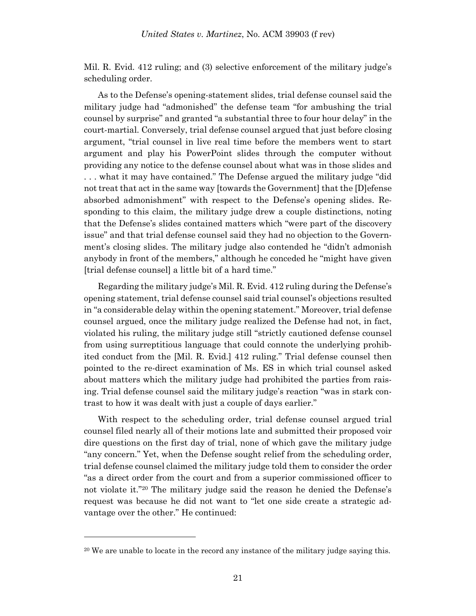Mil. R. Evid. 412 ruling; and (3) selective enforcement of the military judge's scheduling order.

As to the Defense's opening-statement slides, trial defense counsel said the military judge had "admonished" the defense team "for ambushing the trial counsel by surprise" and granted "a substantial three to four hour delay" in the court-martial. Conversely, trial defense counsel argued that just before closing argument, "trial counsel in live real time before the members went to start argument and play his PowerPoint slides through the computer without providing any notice to the defense counsel about what was in those slides and . . . what it may have contained." The Defense argued the military judge "did not treat that act in the same way [towards the Government] that the [D]efense absorbed admonishment" with respect to the Defense's opening slides. Responding to this claim, the military judge drew a couple distinctions, noting that the Defense's slides contained matters which "were part of the discovery issue" and that trial defense counsel said they had no objection to the Government's closing slides. The military judge also contended he "didn't admonish anybody in front of the members," although he conceded he "might have given [trial defense counsel] a little bit of a hard time."

Regarding the military judge's Mil. R. Evid. 412 ruling during the Defense's opening statement, trial defense counsel said trial counsel's objections resulted in "a considerable delay within the opening statement." Moreover, trial defense counsel argued, once the military judge realized the Defense had not, in fact, violated his ruling, the military judge still "strictly cautioned defense counsel from using surreptitious language that could connote the underlying prohibited conduct from the [Mil. R. Evid.] 412 ruling." Trial defense counsel then pointed to the re-direct examination of Ms. ES in which trial counsel asked about matters which the military judge had prohibited the parties from raising. Trial defense counsel said the military judge's reaction "was in stark contrast to how it was dealt with just a couple of days earlier."

With respect to the scheduling order, trial defense counsel argued trial counsel filed nearly all of their motions late and submitted their proposed voir dire questions on the first day of trial, none of which gave the military judge "any concern." Yet, when the Defense sought relief from the scheduling order, trial defense counsel claimed the military judge told them to consider the order "as a direct order from the court and from a superior commissioned officer to not violate it."<sup>20</sup> The military judge said the reason he denied the Defense's request was because he did not want to "let one side create a strategic advantage over the other." He continued:

<sup>&</sup>lt;sup>20</sup> We are unable to locate in the record any instance of the military judge saying this.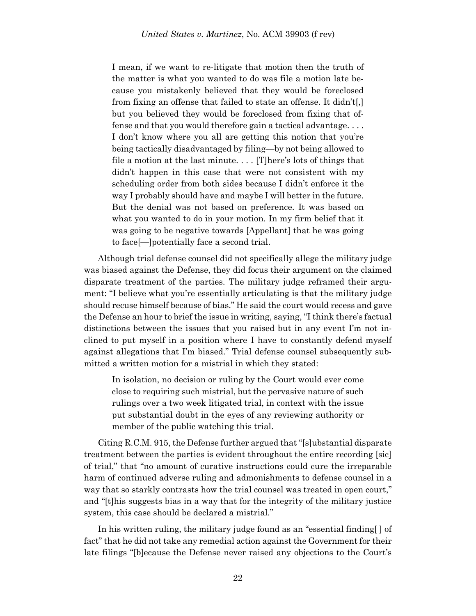I mean, if we want to re-litigate that motion then the truth of the matter is what you wanted to do was file a motion late because you mistakenly believed that they would be foreclosed from fixing an offense that failed to state an offense. It didn't[,] but you believed they would be foreclosed from fixing that offense and that you would therefore gain a tactical advantage. . . . I don't know where you all are getting this notion that you're being tactically disadvantaged by filing—by not being allowed to file a motion at the last minute. . . . [T]here's lots of things that didn't happen in this case that were not consistent with my scheduling order from both sides because I didn't enforce it the way I probably should have and maybe I will better in the future. But the denial was not based on preference. It was based on what you wanted to do in your motion. In my firm belief that it was going to be negative towards [Appellant] that he was going to face[—]potentially face a second trial.

Although trial defense counsel did not specifically allege the military judge was biased against the Defense, they did focus their argument on the claimed disparate treatment of the parties. The military judge reframed their argument: "I believe what you're essentially articulating is that the military judge should recuse himself because of bias." He said the court would recess and gave the Defense an hour to brief the issue in writing, saying, "I think there's factual distinctions between the issues that you raised but in any event I'm not inclined to put myself in a position where I have to constantly defend myself against allegations that I'm biased." Trial defense counsel subsequently submitted a written motion for a mistrial in which they stated:

In isolation, no decision or ruling by the Court would ever come close to requiring such mistrial, but the pervasive nature of such rulings over a two week litigated trial, in context with the issue put substantial doubt in the eyes of any reviewing authority or member of the public watching this trial.

Citing R.C.M. 915, the Defense further argued that "[s]ubstantial disparate treatment between the parties is evident throughout the entire recording [sic] of trial," that "no amount of curative instructions could cure the irreparable harm of continued adverse ruling and admonishments to defense counsel in a way that so starkly contrasts how the trial counsel was treated in open court," and "[t]his suggests bias in a way that for the integrity of the military justice system, this case should be declared a mistrial."

In his written ruling, the military judge found as an "essential finding[ ] of fact" that he did not take any remedial action against the Government for their late filings "[b]ecause the Defense never raised any objections to the Court's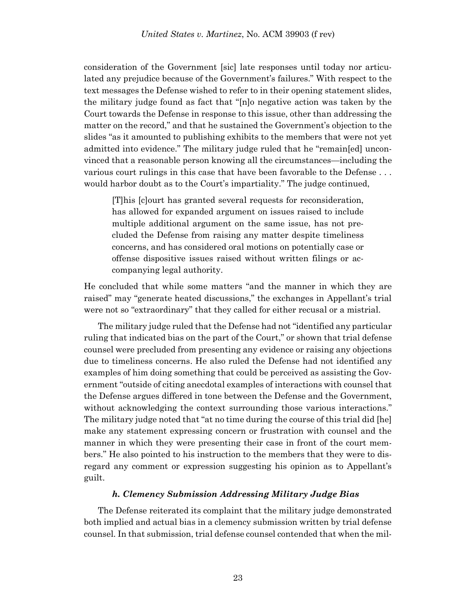consideration of the Government [sic] late responses until today nor articulated any prejudice because of the Government's failures." With respect to the text messages the Defense wished to refer to in their opening statement slides, the military judge found as fact that "[n]o negative action was taken by the Court towards the Defense in response to this issue, other than addressing the matter on the record," and that he sustained the Government's objection to the slides "as it amounted to publishing exhibits to the members that were not yet admitted into evidence." The military judge ruled that he "remain[ed] unconvinced that a reasonable person knowing all the circumstances—including the various court rulings in this case that have been favorable to the Defense . . . would harbor doubt as to the Court's impartiality." The judge continued,

[T]his [c]ourt has granted several requests for reconsideration, has allowed for expanded argument on issues raised to include multiple additional argument on the same issue, has not precluded the Defense from raising any matter despite timeliness concerns, and has considered oral motions on potentially case or offense dispositive issues raised without written filings or accompanying legal authority.

He concluded that while some matters "and the manner in which they are raised" may "generate heated discussions," the exchanges in Appellant's trial were not so "extraordinary" that they called for either recusal or a mistrial.

The military judge ruled that the Defense had not "identified any particular ruling that indicated bias on the part of the Court," or shown that trial defense counsel were precluded from presenting any evidence or raising any objections due to timeliness concerns. He also ruled the Defense had not identified any examples of him doing something that could be perceived as assisting the Government "outside of citing anecdotal examples of interactions with counsel that the Defense argues differed in tone between the Defense and the Government, without acknowledging the context surrounding those various interactions." The military judge noted that "at no time during the course of this trial did [he] make any statement expressing concern or frustration with counsel and the manner in which they were presenting their case in front of the court members." He also pointed to his instruction to the members that they were to disregard any comment or expression suggesting his opinion as to Appellant's guilt.

### *h. Clemency Submission Addressing Military Judge Bias*

The Defense reiterated its complaint that the military judge demonstrated both implied and actual bias in a clemency submission written by trial defense counsel. In that submission, trial defense counsel contended that when the mil-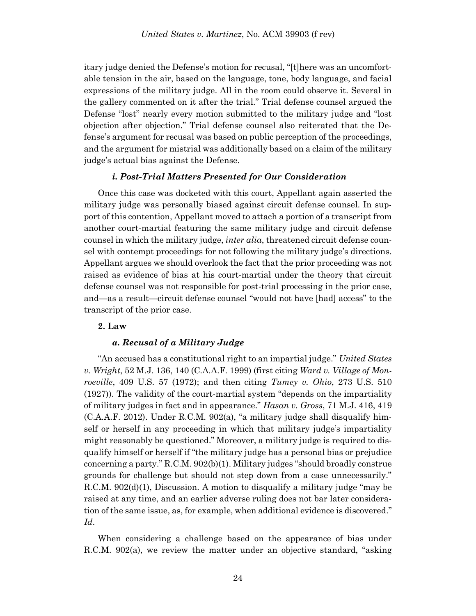itary judge denied the Defense's motion for recusal, "[t]here was an uncomfortable tension in the air, based on the language, tone, body language, and facial expressions of the military judge. All in the room could observe it. Several in the gallery commented on it after the trial." Trial defense counsel argued the Defense "lost" nearly every motion submitted to the military judge and "lost objection after objection." Trial defense counsel also reiterated that the Defense's argument for recusal was based on public perception of the proceedings, and the argument for mistrial was additionally based on a claim of the military judge's actual bias against the Defense.

### *i. Post-Trial Matters Presented for Our Consideration*

Once this case was docketed with this court, Appellant again asserted the military judge was personally biased against circuit defense counsel. In support of this contention, Appellant moved to attach a portion of a transcript from another court-martial featuring the same military judge and circuit defense counsel in which the military judge, *inter alia*, threatened circuit defense counsel with contempt proceedings for not following the military judge's directions. Appellant argues we should overlook the fact that the prior proceeding was not raised as evidence of bias at his court-martial under the theory that circuit defense counsel was not responsible for post-trial processing in the prior case, and—as a result—circuit defense counsel "would not have [had] access" to the transcript of the prior case.

#### **2. Law**

#### *a. Recusal of a Military Judge*

"An accused has a constitutional right to an impartial judge." *United States v. Wright*, 52 M.J. 136, 140 (C.A.A.F. 1999) (first citing *Ward v. Village of Monroeville*, 409 U.S. 57 (1972); and then citing *Tumey v. Ohio*, 273 U.S. 510 (1927)). The validity of the court-martial system "depends on the impartiality of military judges in fact and in appearance." *Hasan v. Gross*, 71 M.J. 416, 419 (C.A.A.F. 2012). Under R.C.M. 902(a), "a military judge shall disqualify himself or herself in any proceeding in which that military judge's impartiality might reasonably be questioned." Moreover, a military judge is required to disqualify himself or herself if "the military judge has a personal bias or prejudice concerning a party." R.C.M. 902(b)(1). Military judges "should broadly construe grounds for challenge but should not step down from a case unnecessarily." R.C.M. 902(d)(1), Discussion. A motion to disqualify a military judge "may be raised at any time, and an earlier adverse ruling does not bar later consideration of the same issue, as, for example, when additional evidence is discovered." *Id*.

When considering a challenge based on the appearance of bias under R.C.M. 902(a), we review the matter under an objective standard, "asking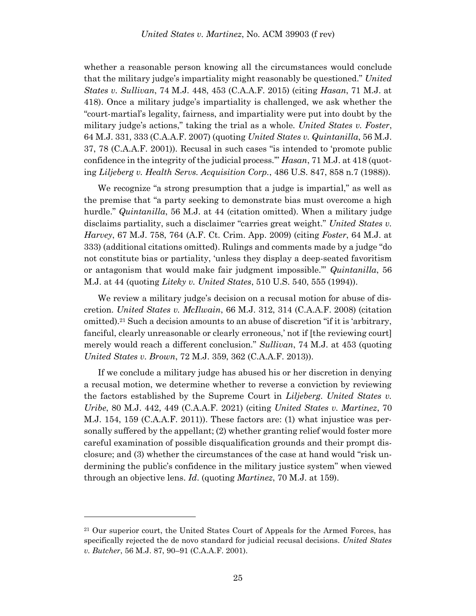whether a reasonable person knowing all the circumstances would conclude that the military judge's impartiality might reasonably be questioned." *United States v. Sullivan*, 74 M.J. 448, 453 (C.A.A.F. 2015) (citing *Hasan*, 71 M.J. at 418). Once a military judge's impartiality is challenged, we ask whether the "court-martial's legality, fairness, and impartiality were put into doubt by the military judge's actions," taking the trial as a whole. *United States v. Foster*, 64 M.J. 331, 333 (C.A.A.F. 2007) (quoting *United States v. Quintanilla*, 56 M.J. 37, 78 (C.A.A.F. 2001)). Recusal in such cases "is intended to 'promote public confidence in the integrity of the judicial process.'" *Hasan*, 71 M.J. at 418 (quoting *Liljeberg v. Health Servs. Acquisition Corp.*, 486 U.S. 847, 858 n.7 (1988)).

We recognize "a strong presumption that a judge is impartial," as well as the premise that "a party seeking to demonstrate bias must overcome a high hurdle." *Quintanilla*, 56 M.J. at 44 (citation omitted). When a military judge disclaims partiality, such a disclaimer "carries great weight." *United States v. Harvey*, 67 M.J. 758, 764 (A.F. Ct. Crim. App. 2009) (citing *Foster*, 64 M.J. at 333) (additional citations omitted). Rulings and comments made by a judge "do not constitute bias or partiality, 'unless they display a deep-seated favoritism or antagonism that would make fair judgment impossible.'" *Quintanilla*, 56 M.J. at 44 (quoting *Liteky v. United States*, 510 U.S. 540, 555 (1994)).

We review a military judge's decision on a recusal motion for abuse of discretion. *United States v. McIlwain*, 66 M.J. 312, 314 (C.A.A.F. 2008) (citation omitted).<sup>21</sup> Such a decision amounts to an abuse of discretion "if it is 'arbitrary, fanciful, clearly unreasonable or clearly erroneous,' not if [the reviewing court] merely would reach a different conclusion." *Sullivan*, 74 M.J. at 453 (quoting *United States v. Brown*, 72 M.J. 359, 362 (C.A.A.F. 2013)).

If we conclude a military judge has abused his or her discretion in denying a recusal motion, we determine whether to reverse a conviction by reviewing the factors established by the Supreme Court in *Liljeberg*. *United States v. Uribe*, 80 M.J. 442, 449 (C.A.A.F. 2021) (citing *United States v. Martinez*, 70 M.J. 154, 159 (C.A.A.F. 2011)). These factors are: (1) what injustice was personally suffered by the appellant; (2) whether granting relief would foster more careful examination of possible disqualification grounds and their prompt disclosure; and (3) whether the circumstances of the case at hand would "risk undermining the public's confidence in the military justice system" when viewed through an objective lens. *Id*. (quoting *Martinez*, 70 M.J. at 159).

<sup>21</sup> Our superior court, the United States Court of Appeals for the Armed Forces, has specifically rejected the de novo standard for judicial recusal decisions. *United States v. Butcher*, 56 M.J. 87, 90–91 (C.A.A.F. 2001).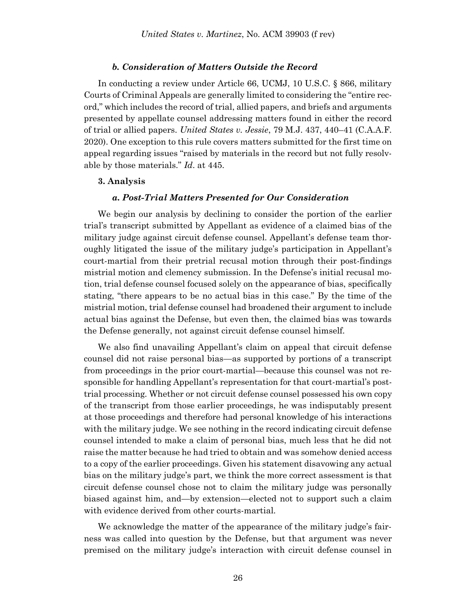#### *b. Consideration of Matters Outside the Record*

In conducting a review under Article 66, UCMJ, 10 U.S.C. § 866, military Courts of Criminal Appeals are generally limited to considering the "entire record," which includes the record of trial, allied papers, and briefs and arguments presented by appellate counsel addressing matters found in either the record of trial or allied papers. *United States v. Jessie*, 79 M.J. 437, 440–41 (C.A.A.F. 2020). One exception to this rule covers matters submitted for the first time on appeal regarding issues "raised by materials in the record but not fully resolvable by those materials." *Id*. at 445.

#### **3. Analysis**

#### *a. Post-Trial Matters Presented for Our Consideration*

We begin our analysis by declining to consider the portion of the earlier trial's transcript submitted by Appellant as evidence of a claimed bias of the military judge against circuit defense counsel. Appellant's defense team thoroughly litigated the issue of the military judge's participation in Appellant's court-martial from their pretrial recusal motion through their post-findings mistrial motion and clemency submission. In the Defense's initial recusal motion, trial defense counsel focused solely on the appearance of bias, specifically stating, "there appears to be no actual bias in this case." By the time of the mistrial motion, trial defense counsel had broadened their argument to include actual bias against the Defense, but even then, the claimed bias was towards the Defense generally, not against circuit defense counsel himself.

We also find unavailing Appellant's claim on appeal that circuit defense counsel did not raise personal bias—as supported by portions of a transcript from proceedings in the prior court-martial—because this counsel was not responsible for handling Appellant's representation for that court-martial's posttrial processing. Whether or not circuit defense counsel possessed his own copy of the transcript from those earlier proceedings, he was indisputably present at those proceedings and therefore had personal knowledge of his interactions with the military judge. We see nothing in the record indicating circuit defense counsel intended to make a claim of personal bias, much less that he did not raise the matter because he had tried to obtain and was somehow denied access to a copy of the earlier proceedings. Given his statement disavowing any actual bias on the military judge's part, we think the more correct assessment is that circuit defense counsel chose not to claim the military judge was personally biased against him, and—by extension—elected not to support such a claim with evidence derived from other courts-martial.

We acknowledge the matter of the appearance of the military judge's fairness was called into question by the Defense, but that argument was never premised on the military judge's interaction with circuit defense counsel in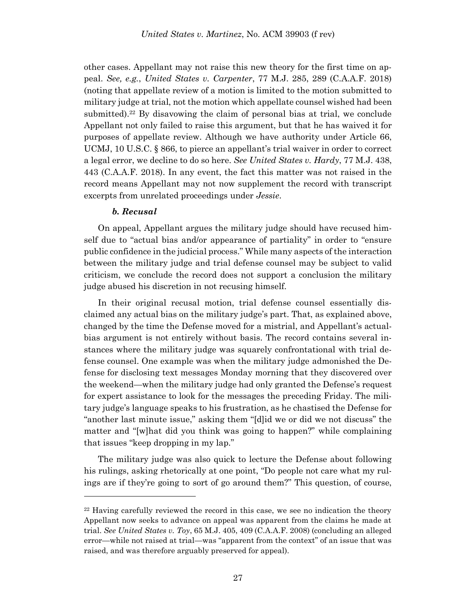other cases. Appellant may not raise this new theory for the first time on appeal. *See, e.g.*, *United States v. Carpenter*, 77 M.J. 285, 289 (C.A.A.F. 2018) (noting that appellate review of a motion is limited to the motion submitted to military judge at trial, not the motion which appellate counsel wished had been submitted).<sup>22</sup> By disavowing the claim of personal bias at trial, we conclude Appellant not only failed to raise this argument, but that he has waived it for purposes of appellate review. Although we have authority under Article 66, UCMJ, 10 U.S.C. § 866, to pierce an appellant's trial waiver in order to correct a legal error, we decline to do so here. *See United States v. Hardy*, 77 M.J. 438, 443 (C.A.A.F. 2018). In any event, the fact this matter was not raised in the record means Appellant may not now supplement the record with transcript excerpts from unrelated proceedings under *Jessie*.

#### *b. Recusal*

l

On appeal, Appellant argues the military judge should have recused himself due to "actual bias and/or appearance of partiality" in order to "ensure public confidence in the judicial process." While many aspects of the interaction between the military judge and trial defense counsel may be subject to valid criticism, we conclude the record does not support a conclusion the military judge abused his discretion in not recusing himself.

In their original recusal motion, trial defense counsel essentially disclaimed any actual bias on the military judge's part. That, as explained above, changed by the time the Defense moved for a mistrial, and Appellant's actualbias argument is not entirely without basis. The record contains several instances where the military judge was squarely confrontational with trial defense counsel. One example was when the military judge admonished the Defense for disclosing text messages Monday morning that they discovered over the weekend—when the military judge had only granted the Defense's request for expert assistance to look for the messages the preceding Friday. The military judge's language speaks to his frustration, as he chastised the Defense for "another last minute issue," asking them "[d]id we or did we not discuss" the matter and "[w]hat did you think was going to happen?" while complaining that issues "keep dropping in my lap."

The military judge was also quick to lecture the Defense about following his rulings, asking rhetorically at one point, "Do people not care what my rulings are if they're going to sort of go around them?" This question, of course,

<sup>22</sup> Having carefully reviewed the record in this case, we see no indication the theory Appellant now seeks to advance on appeal was apparent from the claims he made at trial. *See United States v. Toy*, 65 M.J. 405, 409 (C.A.A.F. 2008) (concluding an alleged error—while not raised at trial—was "apparent from the context" of an issue that was raised, and was therefore arguably preserved for appeal).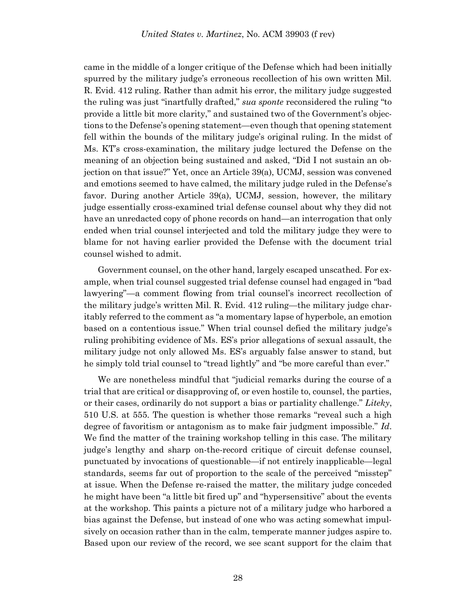came in the middle of a longer critique of the Defense which had been initially spurred by the military judge's erroneous recollection of his own written Mil. R. Evid. 412 ruling. Rather than admit his error, the military judge suggested the ruling was just "inartfully drafted," *sua sponte* reconsidered the ruling "to provide a little bit more clarity," and sustained two of the Government's objections to the Defense's opening statement—even though that opening statement fell within the bounds of the military judge's original ruling. In the midst of Ms. KT's cross-examination, the military judge lectured the Defense on the meaning of an objection being sustained and asked, "Did I not sustain an objection on that issue?" Yet, once an Article 39(a), UCMJ, session was convened and emotions seemed to have calmed, the military judge ruled in the Defense's favor. During another Article 39(a), UCMJ, session, however, the military judge essentially cross-examined trial defense counsel about why they did not have an unredacted copy of phone records on hand—an interrogation that only ended when trial counsel interjected and told the military judge they were to blame for not having earlier provided the Defense with the document trial counsel wished to admit.

Government counsel, on the other hand, largely escaped unscathed. For example, when trial counsel suggested trial defense counsel had engaged in "bad lawyering"—a comment flowing from trial counsel's incorrect recollection of the military judge's written Mil. R. Evid. 412 ruling—the military judge charitably referred to the comment as "a momentary lapse of hyperbole, an emotion based on a contentious issue." When trial counsel defied the military judge's ruling prohibiting evidence of Ms. ES's prior allegations of sexual assault, the military judge not only allowed Ms. ES's arguably false answer to stand, but he simply told trial counsel to "tread lightly" and "be more careful than ever."

We are nonetheless mindful that "judicial remarks during the course of a trial that are critical or disapproving of, or even hostile to, counsel, the parties, or their cases, ordinarily do not support a bias or partiality challenge." *Liteky*, 510 U.S. at 555. The question is whether those remarks "reveal such a high degree of favoritism or antagonism as to make fair judgment impossible." *Id*. We find the matter of the training workshop telling in this case. The military judge's lengthy and sharp on-the-record critique of circuit defense counsel, punctuated by invocations of questionable—if not entirely inapplicable—legal standards, seems far out of proportion to the scale of the perceived "misstep" at issue. When the Defense re-raised the matter, the military judge conceded he might have been "a little bit fired up" and "hypersensitive" about the events at the workshop. This paints a picture not of a military judge who harbored a bias against the Defense, but instead of one who was acting somewhat impulsively on occasion rather than in the calm, temperate manner judges aspire to. Based upon our review of the record, we see scant support for the claim that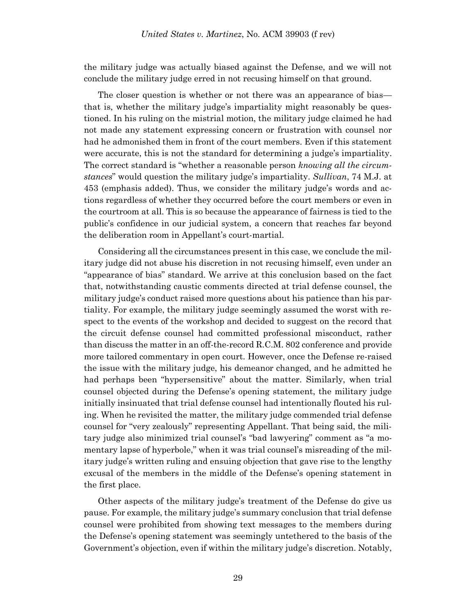the military judge was actually biased against the Defense, and we will not conclude the military judge erred in not recusing himself on that ground.

The closer question is whether or not there was an appearance of bias that is, whether the military judge's impartiality might reasonably be questioned. In his ruling on the mistrial motion, the military judge claimed he had not made any statement expressing concern or frustration with counsel nor had he admonished them in front of the court members. Even if this statement were accurate, this is not the standard for determining a judge's impartiality. The correct standard is "whether a reasonable person *knowing all the circumstances*" would question the military judge's impartiality. *Sullivan*, 74 M.J. at 453 (emphasis added). Thus, we consider the military judge's words and actions regardless of whether they occurred before the court members or even in the courtroom at all. This is so because the appearance of fairness is tied to the public's confidence in our judicial system, a concern that reaches far beyond the deliberation room in Appellant's court-martial.

Considering all the circumstances present in this case, we conclude the military judge did not abuse his discretion in not recusing himself, even under an "appearance of bias" standard. We arrive at this conclusion based on the fact that, notwithstanding caustic comments directed at trial defense counsel, the military judge's conduct raised more questions about his patience than his partiality. For example, the military judge seemingly assumed the worst with respect to the events of the workshop and decided to suggest on the record that the circuit defense counsel had committed professional misconduct, rather than discuss the matter in an off-the-record R.C.M. 802 conference and provide more tailored commentary in open court. However, once the Defense re-raised the issue with the military judge, his demeanor changed, and he admitted he had perhaps been "hypersensitive" about the matter. Similarly, when trial counsel objected during the Defense's opening statement, the military judge initially insinuated that trial defense counsel had intentionally flouted his ruling. When he revisited the matter, the military judge commended trial defense counsel for "very zealously" representing Appellant. That being said, the military judge also minimized trial counsel's "bad lawyering" comment as "a momentary lapse of hyperbole," when it was trial counsel's misreading of the military judge's written ruling and ensuing objection that gave rise to the lengthy excusal of the members in the middle of the Defense's opening statement in the first place.

Other aspects of the military judge's treatment of the Defense do give us pause. For example, the military judge's summary conclusion that trial defense counsel were prohibited from showing text messages to the members during the Defense's opening statement was seemingly untethered to the basis of the Government's objection, even if within the military judge's discretion. Notably,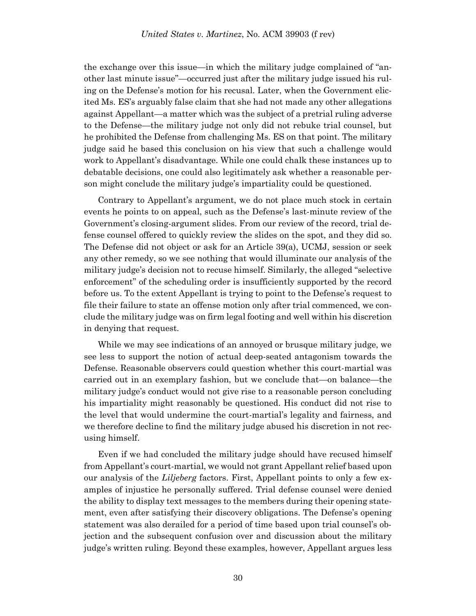the exchange over this issue—in which the military judge complained of "another last minute issue"—occurred just after the military judge issued his ruling on the Defense's motion for his recusal. Later, when the Government elicited Ms. ES's arguably false claim that she had not made any other allegations against Appellant—a matter which was the subject of a pretrial ruling adverse to the Defense—the military judge not only did not rebuke trial counsel, but he prohibited the Defense from challenging Ms. ES on that point. The military judge said he based this conclusion on his view that such a challenge would work to Appellant's disadvantage. While one could chalk these instances up to debatable decisions, one could also legitimately ask whether a reasonable person might conclude the military judge's impartiality could be questioned.

Contrary to Appellant's argument, we do not place much stock in certain events he points to on appeal, such as the Defense's last-minute review of the Government's closing-argument slides. From our review of the record, trial defense counsel offered to quickly review the slides on the spot, and they did so. The Defense did not object or ask for an Article 39(a), UCMJ, session or seek any other remedy, so we see nothing that would illuminate our analysis of the military judge's decision not to recuse himself. Similarly, the alleged "selective enforcement" of the scheduling order is insufficiently supported by the record before us. To the extent Appellant is trying to point to the Defense's request to file their failure to state an offense motion only after trial commenced, we conclude the military judge was on firm legal footing and well within his discretion in denying that request.

While we may see indications of an annoyed or brusque military judge, we see less to support the notion of actual deep-seated antagonism towards the Defense. Reasonable observers could question whether this court-martial was carried out in an exemplary fashion, but we conclude that—on balance—the military judge's conduct would not give rise to a reasonable person concluding his impartiality might reasonably be questioned. His conduct did not rise to the level that would undermine the court-martial's legality and fairness, and we therefore decline to find the military judge abused his discretion in not recusing himself.

Even if we had concluded the military judge should have recused himself from Appellant's court-martial, we would not grant Appellant relief based upon our analysis of the *Liljeberg* factors. First, Appellant points to only a few examples of injustice he personally suffered. Trial defense counsel were denied the ability to display text messages to the members during their opening statement, even after satisfying their discovery obligations. The Defense's opening statement was also derailed for a period of time based upon trial counsel's objection and the subsequent confusion over and discussion about the military judge's written ruling. Beyond these examples, however, Appellant argues less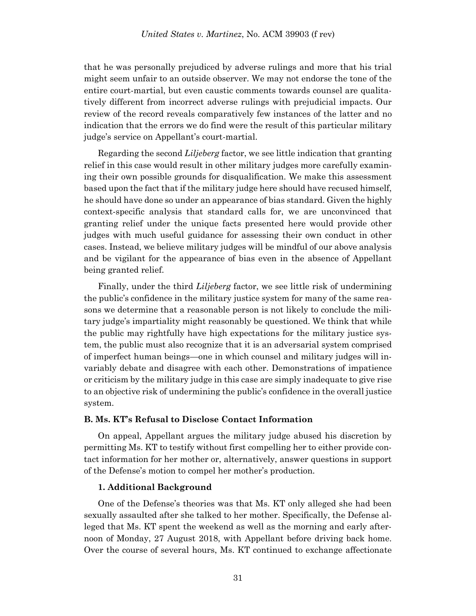that he was personally prejudiced by adverse rulings and more that his trial might seem unfair to an outside observer. We may not endorse the tone of the entire court-martial, but even caustic comments towards counsel are qualitatively different from incorrect adverse rulings with prejudicial impacts. Our review of the record reveals comparatively few instances of the latter and no indication that the errors we do find were the result of this particular military judge's service on Appellant's court-martial.

Regarding the second *Liljeberg* factor, we see little indication that granting relief in this case would result in other military judges more carefully examining their own possible grounds for disqualification. We make this assessment based upon the fact that if the military judge here should have recused himself, he should have done so under an appearance of bias standard. Given the highly context-specific analysis that standard calls for, we are unconvinced that granting relief under the unique facts presented here would provide other judges with much useful guidance for assessing their own conduct in other cases. Instead, we believe military judges will be mindful of our above analysis and be vigilant for the appearance of bias even in the absence of Appellant being granted relief.

Finally, under the third *Liljeberg* factor, we see little risk of undermining the public's confidence in the military justice system for many of the same reasons we determine that a reasonable person is not likely to conclude the military judge's impartiality might reasonably be questioned. We think that while the public may rightfully have high expectations for the military justice system, the public must also recognize that it is an adversarial system comprised of imperfect human beings—one in which counsel and military judges will invariably debate and disagree with each other. Demonstrations of impatience or criticism by the military judge in this case are simply inadequate to give rise to an objective risk of undermining the public's confidence in the overall justice system.

### **B. Ms. KT's Refusal to Disclose Contact Information**

On appeal, Appellant argues the military judge abused his discretion by permitting Ms. KT to testify without first compelling her to either provide contact information for her mother or, alternatively, answer questions in support of the Defense's motion to compel her mother's production.

#### **1. Additional Background**

One of the Defense's theories was that Ms. KT only alleged she had been sexually assaulted after she talked to her mother. Specifically, the Defense alleged that Ms. KT spent the weekend as well as the morning and early afternoon of Monday, 27 August 2018, with Appellant before driving back home. Over the course of several hours, Ms. KT continued to exchange affectionate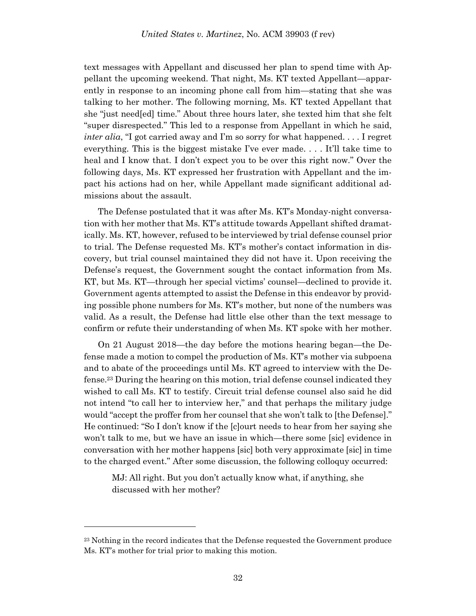text messages with Appellant and discussed her plan to spend time with Appellant the upcoming weekend. That night, Ms. KT texted Appellant—apparently in response to an incoming phone call from him—stating that she was talking to her mother. The following morning, Ms. KT texted Appellant that she "just need[ed] time." About three hours later, she texted him that she felt "super disrespected." This led to a response from Appellant in which he said, *inter alia*, "I got carried away and I'm so sorry for what happened. . . . I regret everything. This is the biggest mistake I've ever made. . . . It'll take time to heal and I know that. I don't expect you to be over this right now." Over the following days, Ms. KT expressed her frustration with Appellant and the impact his actions had on her, while Appellant made significant additional admissions about the assault.

The Defense postulated that it was after Ms. KT's Monday-night conversation with her mother that Ms. KT's attitude towards Appellant shifted dramatically. Ms. KT, however, refused to be interviewed by trial defense counsel prior to trial. The Defense requested Ms. KT's mother's contact information in discovery, but trial counsel maintained they did not have it. Upon receiving the Defense's request, the Government sought the contact information from Ms. KT, but Ms. KT—through her special victims' counsel—declined to provide it. Government agents attempted to assist the Defense in this endeavor by providing possible phone numbers for Ms. KT's mother, but none of the numbers was valid. As a result, the Defense had little else other than the text message to confirm or refute their understanding of when Ms. KT spoke with her mother.

On 21 August 2018—the day before the motions hearing began—the Defense made a motion to compel the production of Ms. KT's mother via subpoena and to abate of the proceedings until Ms. KT agreed to interview with the Defense. <sup>23</sup> During the hearing on this motion, trial defense counsel indicated they wished to call Ms. KT to testify. Circuit trial defense counsel also said he did not intend "to call her to interview her," and that perhaps the military judge would "accept the proffer from her counsel that she won't talk to [the Defense]." He continued: "So I don't know if the [c]ourt needs to hear from her saying she won't talk to me, but we have an issue in which—there some [sic] evidence in conversation with her mother happens [sic] both very approximate [sic] in time to the charged event." After some discussion, the following colloquy occurred:

MJ: All right. But you don't actually know what, if anything, she discussed with her mother?

<sup>&</sup>lt;sup>23</sup> Nothing in the record indicates that the Defense requested the Government produce Ms. KT's mother for trial prior to making this motion.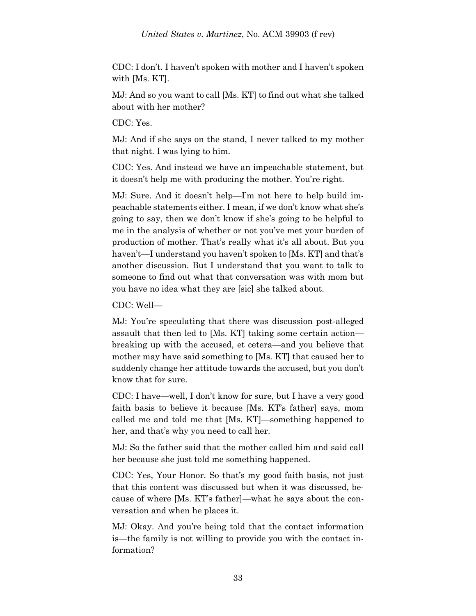CDC: I don't. I haven't spoken with mother and I haven't spoken with [Ms. KT].

MJ: And so you want to call [Ms. KT] to find out what she talked about with her mother?

CDC: Yes.

MJ: And if she says on the stand, I never talked to my mother that night. I was lying to him.

CDC: Yes. And instead we have an impeachable statement, but it doesn't help me with producing the mother. You're right.

MJ: Sure. And it doesn't help—I'm not here to help build impeachable statements either. I mean, if we don't know what she's going to say, then we don't know if she's going to be helpful to me in the analysis of whether or not you've met your burden of production of mother. That's really what it's all about. But you haven't—I understand you haven't spoken to [Ms. KT] and that's another discussion. But I understand that you want to talk to someone to find out what that conversation was with mom but you have no idea what they are [sic] she talked about.

CDC: Well—

MJ: You're speculating that there was discussion post-alleged assault that then led to [Ms. KT] taking some certain action breaking up with the accused, et cetera—and you believe that mother may have said something to [Ms. KT] that caused her to suddenly change her attitude towards the accused, but you don't know that for sure.

CDC: I have—well, I don't know for sure, but I have a very good faith basis to believe it because [Ms. KT's father] says, mom called me and told me that [Ms. KT]—something happened to her, and that's why you need to call her.

MJ: So the father said that the mother called him and said call her because she just told me something happened.

CDC: Yes, Your Honor. So that's my good faith basis, not just that this content was discussed but when it was discussed, because of where [Ms. KT's father]—what he says about the conversation and when he places it.

MJ: Okay. And you're being told that the contact information is—the family is not willing to provide you with the contact information?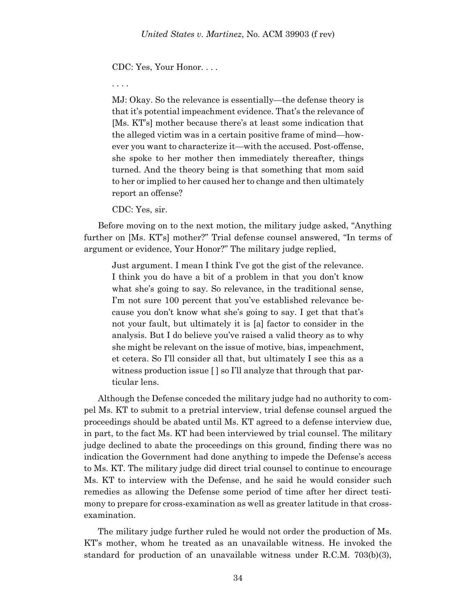CDC: Yes, Your Honor. . . .

. . . .

MJ: Okay. So the relevance is essentially—the defense theory is that it's potential impeachment evidence. That's the relevance of [Ms. KT's] mother because there's at least some indication that the alleged victim was in a certain positive frame of mind—however you want to characterize it—with the accused. Post-offense, she spoke to her mother then immediately thereafter, things turned. And the theory being is that something that mom said to her or implied to her caused her to change and then ultimately report an offense?

CDC: Yes, sir.

Before moving on to the next motion, the military judge asked, "Anything further on [Ms. KT's] mother?" Trial defense counsel answered, "In terms of argument or evidence, Your Honor?" The military judge replied,

Just argument. I mean I think I've got the gist of the relevance. I think you do have a bit of a problem in that you don't know what she's going to say. So relevance, in the traditional sense, I'm not sure 100 percent that you've established relevance because you don't know what she's going to say. I get that that's not your fault, but ultimately it is [a] factor to consider in the analysis. But I do believe you've raised a valid theory as to why she might be relevant on the issue of motive, bias, impeachment, et cetera. So I'll consider all that, but ultimately I see this as a witness production issue [ ] so I'll analyze that through that particular lens.

Although the Defense conceded the military judge had no authority to compel Ms. KT to submit to a pretrial interview, trial defense counsel argued the proceedings should be abated until Ms. KT agreed to a defense interview due, in part, to the fact Ms. KT had been interviewed by trial counsel. The military judge declined to abate the proceedings on this ground, finding there was no indication the Government had done anything to impede the Defense's access to Ms. KT. The military judge did direct trial counsel to continue to encourage Ms. KT to interview with the Defense, and he said he would consider such remedies as allowing the Defense some period of time after her direct testimony to prepare for cross-examination as well as greater latitude in that crossexamination.

The military judge further ruled he would not order the production of Ms. KT's mother, whom he treated as an unavailable witness. He invoked the standard for production of an unavailable witness under R.C.M. 703(b)(3),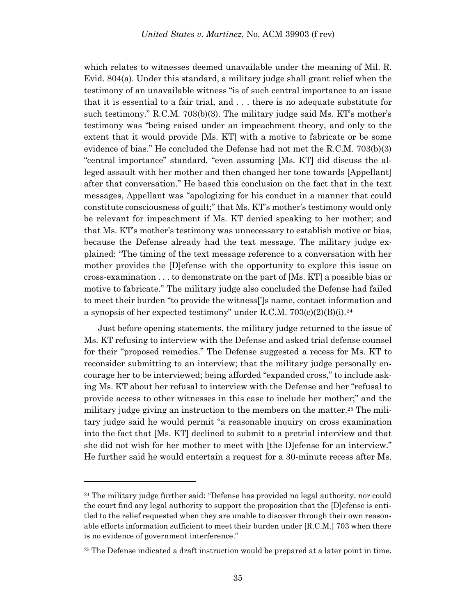which relates to witnesses deemed unavailable under the meaning of Mil. R. Evid. 804(a). Under this standard, a military judge shall grant relief when the testimony of an unavailable witness "is of such central importance to an issue that it is essential to a fair trial, and . . . there is no adequate substitute for such testimony." R.C.M. 703(b)(3). The military judge said Ms. KT's mother's testimony was "being raised under an impeachment theory, and only to the extent that it would provide [Ms. KT] with a motive to fabricate or be some evidence of bias." He concluded the Defense had not met the R.C.M. 703(b)(3) "central importance" standard, "even assuming [Ms. KT] did discuss the alleged assault with her mother and then changed her tone towards [Appellant] after that conversation." He based this conclusion on the fact that in the text messages, Appellant was "apologizing for his conduct in a manner that could constitute consciousness of guilt;" that Ms. KT's mother's testimony would only be relevant for impeachment if Ms. KT denied speaking to her mother; and that Ms. KT's mother's testimony was unnecessary to establish motive or bias, because the Defense already had the text message. The military judge explained: "The timing of the text message reference to a conversation with her mother provides the [D]efense with the opportunity to explore this issue on cross-examination . . . to demonstrate on the part of [Ms. KT] a possible bias or motive to fabricate." The military judge also concluded the Defense had failed to meet their burden "to provide the witness[']s name, contact information and a synopsis of her expected testimony" under R.C.M.  $703(c)(2)(B)(i).^{24}$ 

Just before opening statements, the military judge returned to the issue of Ms. KT refusing to interview with the Defense and asked trial defense counsel for their "proposed remedies." The Defense suggested a recess for Ms. KT to reconsider submitting to an interview; that the military judge personally encourage her to be interviewed; being afforded "expanded cross," to include asking Ms. KT about her refusal to interview with the Defense and her "refusal to provide access to other witnesses in this case to include her mother;" and the military judge giving an instruction to the members on the matter.<sup>25</sup> The military judge said he would permit "a reasonable inquiry on cross examination into the fact that [Ms. KT] declined to submit to a pretrial interview and that she did not wish for her mother to meet with [the D]efense for an interview." He further said he would entertain a request for a 30-minute recess after Ms.

<sup>&</sup>lt;sup>24</sup> The military judge further said: "Defense has provided no legal authority, nor could the court find any legal authority to support the proposition that the [D]efense is entitled to the relief requested when they are unable to discover through their own reasonable efforts information sufficient to meet their burden under [R.C.M.] 703 when there is no evidence of government interference."

<sup>&</sup>lt;sup>25</sup> The Defense indicated a draft instruction would be prepared at a later point in time.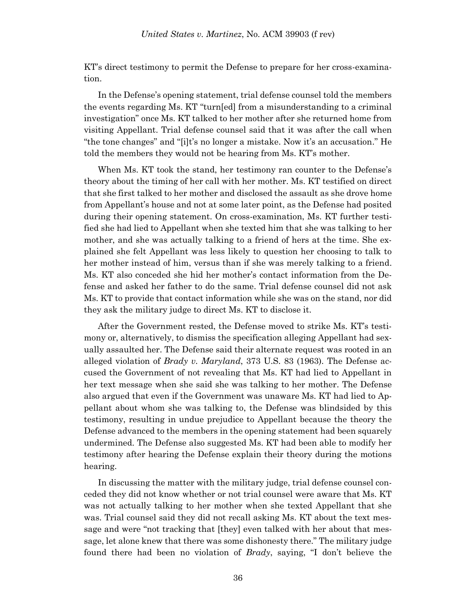KT's direct testimony to permit the Defense to prepare for her cross-examination.

In the Defense's opening statement, trial defense counsel told the members the events regarding Ms. KT "turn[ed] from a misunderstanding to a criminal investigation" once Ms. KT talked to her mother after she returned home from visiting Appellant. Trial defense counsel said that it was after the call when "the tone changes" and "[i]t's no longer a mistake. Now it's an accusation." He told the members they would not be hearing from Ms. KT's mother.

When Ms. KT took the stand, her testimony ran counter to the Defense's theory about the timing of her call with her mother. Ms. KT testified on direct that she first talked to her mother and disclosed the assault as she drove home from Appellant's house and not at some later point, as the Defense had posited during their opening statement. On cross-examination, Ms. KT further testified she had lied to Appellant when she texted him that she was talking to her mother, and she was actually talking to a friend of hers at the time. She explained she felt Appellant was less likely to question her choosing to talk to her mother instead of him, versus than if she was merely talking to a friend. Ms. KT also conceded she hid her mother's contact information from the Defense and asked her father to do the same. Trial defense counsel did not ask Ms. KT to provide that contact information while she was on the stand, nor did they ask the military judge to direct Ms. KT to disclose it.

After the Government rested, the Defense moved to strike Ms. KT's testimony or, alternatively, to dismiss the specification alleging Appellant had sexually assaulted her. The Defense said their alternate request was rooted in an alleged violation of *Brady v. Maryland*, 373 U.S. 83 (1963). The Defense accused the Government of not revealing that Ms. KT had lied to Appellant in her text message when she said she was talking to her mother. The Defense also argued that even if the Government was unaware Ms. KT had lied to Appellant about whom she was talking to, the Defense was blindsided by this testimony, resulting in undue prejudice to Appellant because the theory the Defense advanced to the members in the opening statement had been squarely undermined. The Defense also suggested Ms. KT had been able to modify her testimony after hearing the Defense explain their theory during the motions hearing.

In discussing the matter with the military judge, trial defense counsel conceded they did not know whether or not trial counsel were aware that Ms. KT was not actually talking to her mother when she texted Appellant that she was. Trial counsel said they did not recall asking Ms. KT about the text message and were "not tracking that [they] even talked with her about that message, let alone knew that there was some dishonesty there." The military judge found there had been no violation of *Brady*, saying, "I don't believe the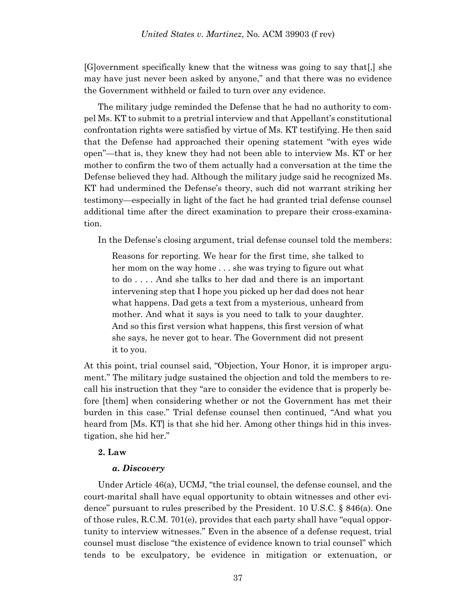[G]overnment specifically knew that the witness was going to say that[,] she may have just never been asked by anyone," and that there was no evidence the Government withheld or failed to turn over any evidence.

The military judge reminded the Defense that he had no authority to compel Ms. KT to submit to a pretrial interview and that Appellant's constitutional confrontation rights were satisfied by virtue of Ms. KT testifying. He then said that the Defense had approached their opening statement "with eyes wide open"—that is, they knew they had not been able to interview Ms. KT or her mother to confirm the two of them actually had a conversation at the time the Defense believed they had. Although the military judge said he recognized Ms. KT had undermined the Defense's theory, such did not warrant striking her testimony—especially in light of the fact he had granted trial defense counsel additional time after the direct examination to prepare their cross-examination.

In the Defense's closing argument, trial defense counsel told the members:

Reasons for reporting. We hear for the first time, she talked to her mom on the way home . . . she was trying to figure out what to do . . . . And she talks to her dad and there is an important intervening step that I hope you picked up her dad does not hear what happens. Dad gets a text from a mysterious, unheard from mother. And what it says is you need to talk to your daughter. And so this first version what happens, this first version of what she says, he never got to hear. The Government did not present it to you.

At this point, trial counsel said, "Objection, Your Honor, it is improper argument." The military judge sustained the objection and told the members to recall his instruction that they "are to consider the evidence that is properly before [them] when considering whether or not the Government has met their burden in this case." Trial defense counsel then continued, "And what you heard from [Ms. KT] is that she hid her. Among other things hid in this investigation, she hid her."

### **2. Law**

#### *a. Discovery*

Under Article 46(a), UCMJ, "the trial counsel, the defense counsel, and the court-marital shall have equal opportunity to obtain witnesses and other evidence" pursuant to rules prescribed by the President. 10 U.S.C. § 846(a). One of those rules, R.C.M. 701(e), provides that each party shall have "equal opportunity to interview witnesses." Even in the absence of a defense request, trial counsel must disclose "the existence of evidence known to trial counsel" which tends to be exculpatory, be evidence in mitigation or extenuation, or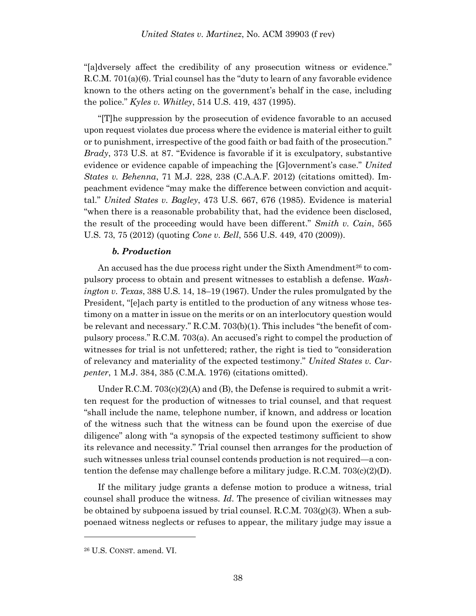"[a]dversely affect the credibility of any prosecution witness or evidence." R.C.M. 701(a)(6). Trial counsel has the "duty to learn of any favorable evidence known to the others acting on the government's behalf in the case, including the police." *Kyles v. Whitley*, 514 U.S. 419, 437 (1995).

"[T]he suppression by the prosecution of evidence favorable to an accused upon request violates due process where the evidence is material either to guilt or to punishment, irrespective of the good faith or bad faith of the prosecution." *Brady*, 373 U.S. at 87. "Evidence is favorable if it is exculpatory, substantive evidence or evidence capable of impeaching the [G]overnment's case." *United States v. Behenna*, 71 M.J. 228, 238 (C.A.A.F. 2012) (citations omitted). Impeachment evidence "may make the difference between conviction and acquittal." *United States v. Bagley*, 473 U.S. 667, 676 (1985). Evidence is material "when there is a reasonable probability that, had the evidence been disclosed, the result of the proceeding would have been different." *Smith v. Cain*, 565 U.S. 73, 75 (2012) (quoting *Cone v. Bell*, 556 U.S. 449, 470 (2009)).

### *b. Production*

An accused has the due process right under the Sixth Amendment<sup>26</sup> to compulsory process to obtain and present witnesses to establish a defense. *Washington v. Texas*, 388 U.S. 14, 18–19 (1967). Under the rules promulgated by the President, "[e]ach party is entitled to the production of any witness whose testimony on a matter in issue on the merits or on an interlocutory question would be relevant and necessary." R.C.M. 703(b)(1). This includes "the benefit of compulsory process." R.C.M. 703(a). An accused's right to compel the production of witnesses for trial is not unfettered; rather, the right is tied to "consideration of relevancy and materiality of the expected testimony." *United States v. Carpenter*, 1 M.J. 384, 385 (C.M.A. 1976) (citations omitted).

Under R.C.M.  $703(c)(2)(A)$  and (B), the Defense is required to submit a written request for the production of witnesses to trial counsel, and that request "shall include the name, telephone number, if known, and address or location of the witness such that the witness can be found upon the exercise of due diligence" along with "a synopsis of the expected testimony sufficient to show its relevance and necessity." Trial counsel then arranges for the production of such witnesses unless trial counsel contends production is not required—a contention the defense may challenge before a military judge. R.C.M. 703(c)(2)(D).

If the military judge grants a defense motion to produce a witness, trial counsel shall produce the witness. *Id*. The presence of civilian witnesses may be obtained by subpoena issued by trial counsel.  $R.C.M. 703(g)(3)$ . When a subpoenaed witness neglects or refuses to appear, the military judge may issue a

<sup>26</sup> U.S. CONST. amend. VI.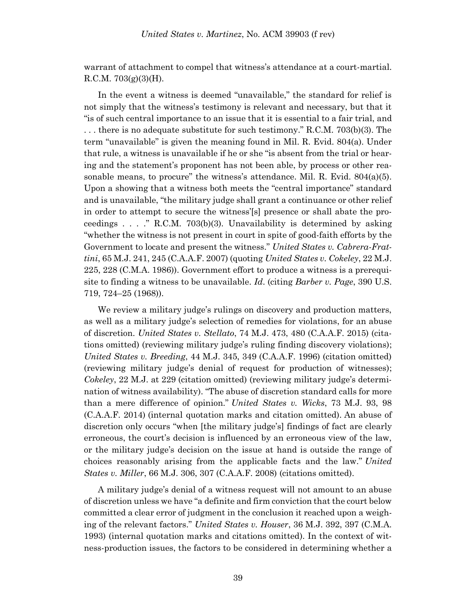warrant of attachment to compel that witness's attendance at a court-martial. R.C.M.  $703(g)(3)(H)$ .

In the event a witness is deemed "unavailable," the standard for relief is not simply that the witness's testimony is relevant and necessary, but that it "is of such central importance to an issue that it is essential to a fair trial, and . . . there is no adequate substitute for such testimony." R.C.M. 703(b)(3). The term "unavailable" is given the meaning found in Mil. R. Evid. 804(a). Under that rule, a witness is unavailable if he or she "is absent from the trial or hearing and the statement's proponent has not been able, by process or other reasonable means, to procure" the witness's attendance. Mil. R. Evid.  $804(a)(5)$ . Upon a showing that a witness both meets the "central importance" standard and is unavailable, "the military judge shall grant a continuance or other relief in order to attempt to secure the witness'[s] presence or shall abate the proceedings  $\ldots$  ." R.C.M. 703(b)(3). Unavailability is determined by asking "whether the witness is not present in court in spite of good-faith efforts by the Government to locate and present the witness." *United States v. Cabrera-Frattini*, 65 M.J. 241, 245 (C.A.A.F. 2007) (quoting *United States v. Cokeley*, 22 M.J. 225, 228 (C.M.A. 1986)). Government effort to produce a witness is a prerequisite to finding a witness to be unavailable. *Id*. (citing *Barber v. Page*, 390 U.S. 719, 724–25 (1968)).

We review a military judge's rulings on discovery and production matters, as well as a military judge's selection of remedies for violations, for an abuse of discretion. *United States v. Stellato*, 74 M.J. 473, 480 (C.A.A.F. 2015) (citations omitted) (reviewing military judge's ruling finding discovery violations); *United States v. Breeding*, 44 M.J. 345, 349 (C.A.A.F. 1996) (citation omitted) (reviewing military judge's denial of request for production of witnesses); *Cokeley*, 22 M.J. at 229 (citation omitted) (reviewing military judge's determination of witness availability). "The abuse of discretion standard calls for more than a mere difference of opinion." *United States v. Wicks*, 73 M.J. 93, 98 (C.A.A.F. 2014) (internal quotation marks and citation omitted). An abuse of discretion only occurs "when [the military judge's] findings of fact are clearly erroneous, the court's decision is influenced by an erroneous view of the law, or the military judge's decision on the issue at hand is outside the range of choices reasonably arising from the applicable facts and the law." *United States v. Miller*, 66 M.J. 306, 307 (C.A.A.F. 2008) (citations omitted).

A military judge's denial of a witness request will not amount to an abuse of discretion unless we have "a definite and firm conviction that the court below committed a clear error of judgment in the conclusion it reached upon a weighing of the relevant factors." *United States v. Houser*, 36 M.J. 392, 397 (C.M.A. 1993) (internal quotation marks and citations omitted). In the context of witness-production issues, the factors to be considered in determining whether a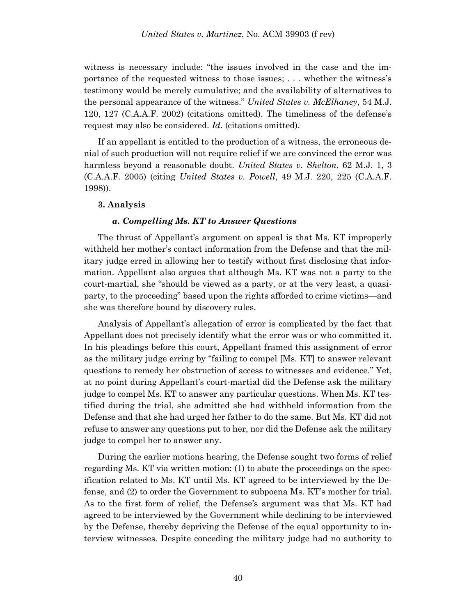witness is necessary include: "the issues involved in the case and the importance of the requested witness to those issues; . . . whether the witness's testimony would be merely cumulative; and the availability of alternatives to the personal appearance of the witness." *United States v. McElhaney*, 54 M.J. 120, 127 (C.A.A.F. 2002) (citations omitted). The timeliness of the defense's request may also be considered. *Id*. (citations omitted).

If an appellant is entitled to the production of a witness, the erroneous denial of such production will not require relief if we are convinced the error was harmless beyond a reasonable doubt. *United States v. Shelton*, 62 M.J. 1, 3 (C.A.A.F. 2005) (citing *United States v. Powell*, 49 M.J. 220, 225 (C.A.A.F. 1998)).

#### **3. Analysis**

#### *a. Compelling Ms. KT to Answer Questions*

The thrust of Appellant's argument on appeal is that Ms. KT improperly withheld her mother's contact information from the Defense and that the military judge erred in allowing her to testify without first disclosing that information. Appellant also argues that although Ms. KT was not a party to the court-martial, she "should be viewed as a party, or at the very least, a quasiparty, to the proceeding" based upon the rights afforded to crime victims—and she was therefore bound by discovery rules.

Analysis of Appellant's allegation of error is complicated by the fact that Appellant does not precisely identify what the error was or who committed it. In his pleadings before this court, Appellant framed this assignment of error as the military judge erring by "failing to compel [Ms. KT] to answer relevant questions to remedy her obstruction of access to witnesses and evidence." Yet, at no point during Appellant's court-martial did the Defense ask the military judge to compel Ms. KT to answer any particular questions. When Ms. KT testified during the trial, she admitted she had withheld information from the Defense and that she had urged her father to do the same. But Ms. KT did not refuse to answer any questions put to her, nor did the Defense ask the military judge to compel her to answer any.

During the earlier motions hearing, the Defense sought two forms of relief regarding Ms. KT via written motion: (1) to abate the proceedings on the specification related to Ms. KT until Ms. KT agreed to be interviewed by the Defense, and (2) to order the Government to subpoena Ms. KT's mother for trial. As to the first form of relief, the Defense's argument was that Ms. KT had agreed to be interviewed by the Government while declining to be interviewed by the Defense, thereby depriving the Defense of the equal opportunity to interview witnesses. Despite conceding the military judge had no authority to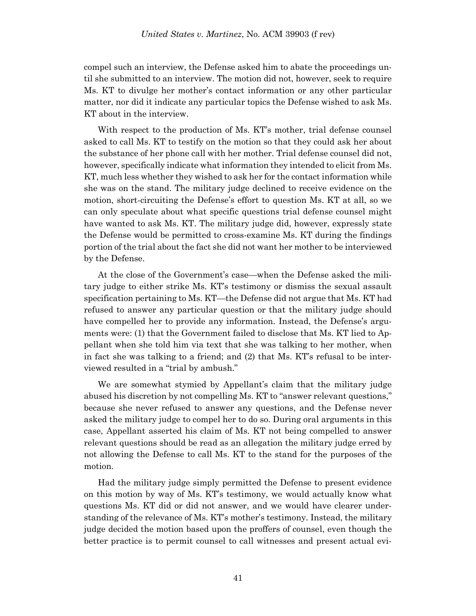compel such an interview, the Defense asked him to abate the proceedings until she submitted to an interview. The motion did not, however, seek to require Ms. KT to divulge her mother's contact information or any other particular matter, nor did it indicate any particular topics the Defense wished to ask Ms. KT about in the interview.

With respect to the production of Ms. KT's mother, trial defense counsel asked to call Ms. KT to testify on the motion so that they could ask her about the substance of her phone call with her mother. Trial defense counsel did not, however, specifically indicate what information they intended to elicit from Ms. KT, much less whether they wished to ask her for the contact information while she was on the stand. The military judge declined to receive evidence on the motion, short-circuiting the Defense's effort to question Ms. KT at all, so we can only speculate about what specific questions trial defense counsel might have wanted to ask Ms. KT. The military judge did, however, expressly state the Defense would be permitted to cross-examine Ms. KT during the findings portion of the trial about the fact she did not want her mother to be interviewed by the Defense.

At the close of the Government's case—when the Defense asked the military judge to either strike Ms. KT's testimony or dismiss the sexual assault specification pertaining to Ms. KT—the Defense did not argue that Ms. KT had refused to answer any particular question or that the military judge should have compelled her to provide any information. Instead, the Defense's arguments were: (1) that the Government failed to disclose that Ms. KT lied to Appellant when she told him via text that she was talking to her mother, when in fact she was talking to a friend; and (2) that Ms. KT's refusal to be interviewed resulted in a "trial by ambush."

We are somewhat stymied by Appellant's claim that the military judge abused his discretion by not compelling Ms. KT to "answer relevant questions," because she never refused to answer any questions, and the Defense never asked the military judge to compel her to do so. During oral arguments in this case, Appellant asserted his claim of Ms. KT not being compelled to answer relevant questions should be read as an allegation the military judge erred by not allowing the Defense to call Ms. KT to the stand for the purposes of the motion.

Had the military judge simply permitted the Defense to present evidence on this motion by way of Ms. KT's testimony, we would actually know what questions Ms. KT did or did not answer, and we would have clearer understanding of the relevance of Ms. KT's mother's testimony. Instead, the military judge decided the motion based upon the proffers of counsel, even though the better practice is to permit counsel to call witnesses and present actual evi-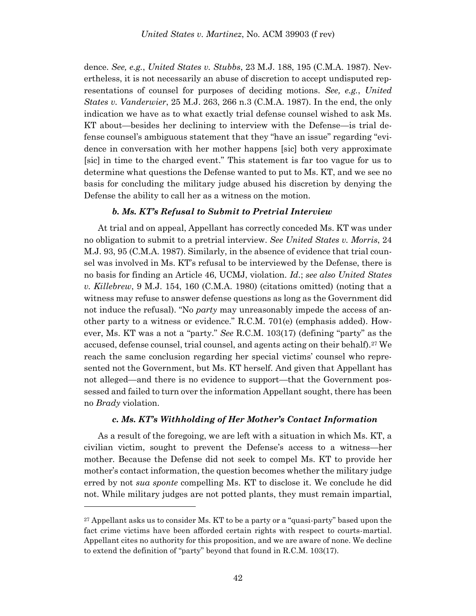dence. *See, e.g.*, *United States v. Stubbs*, 23 M.J. 188, 195 (C.M.A. 1987). Nevertheless, it is not necessarily an abuse of discretion to accept undisputed representations of counsel for purposes of deciding motions. *See, e.g.*, *United States v. Vanderwier*, 25 M.J. 263, 266 n.3 (C.M.A. 1987). In the end, the only indication we have as to what exactly trial defense counsel wished to ask Ms. KT about—besides her declining to interview with the Defense—is trial defense counsel's ambiguous statement that they "have an issue" regarding "evidence in conversation with her mother happens [sic] both very approximate [sic] in time to the charged event." This statement is far too vague for us to determine what questions the Defense wanted to put to Ms. KT, and we see no basis for concluding the military judge abused his discretion by denying the Defense the ability to call her as a witness on the motion.

### *b. Ms. KT's Refusal to Submit to Pretrial Interview*

At trial and on appeal, Appellant has correctly conceded Ms. KT was under no obligation to submit to a pretrial interview. *See United States v. Morris*, 24 M.J. 93, 95 (C.M.A. 1987). Similarly, in the absence of evidence that trial counsel was involved in Ms. KT's refusal to be interviewed by the Defense, there is no basis for finding an Article 46, UCMJ, violation. *Id*.; *see also United States v. Killebrew*, 9 M.J. 154, 160 (C.M.A. 1980) (citations omitted) (noting that a witness may refuse to answer defense questions as long as the Government did not induce the refusal). "No *party* may unreasonably impede the access of another party to a witness or evidence." R.C.M. 701(e) (emphasis added). However, Ms. KT was a not a "party." *See* R.C.M. 103(17) (defining "party" as the accused, defense counsel, trial counsel, and agents acting on their behalf).<sup>27</sup> We reach the same conclusion regarding her special victims' counsel who represented not the Government, but Ms. KT herself. And given that Appellant has not alleged—and there is no evidence to support—that the Government possessed and failed to turn over the information Appellant sought, there has been no *Brady* violation.

### *c. Ms. KT's Withholding of Her Mother's Contact Information*

As a result of the foregoing, we are left with a situation in which Ms. KT, a civilian victim, sought to prevent the Defense's access to a witness—her mother. Because the Defense did not seek to compel Ms. KT to provide her mother's contact information, the question becomes whether the military judge erred by not *sua sponte* compelling Ms. KT to disclose it. We conclude he did not. While military judges are not potted plants, they must remain impartial,

<sup>&</sup>lt;sup>27</sup> Appellant asks us to consider Ms. KT to be a party or a "quasi-party" based upon the fact crime victims have been afforded certain rights with respect to courts-martial. Appellant cites no authority for this proposition, and we are aware of none. We decline to extend the definition of "party" beyond that found in R.C.M. 103(17).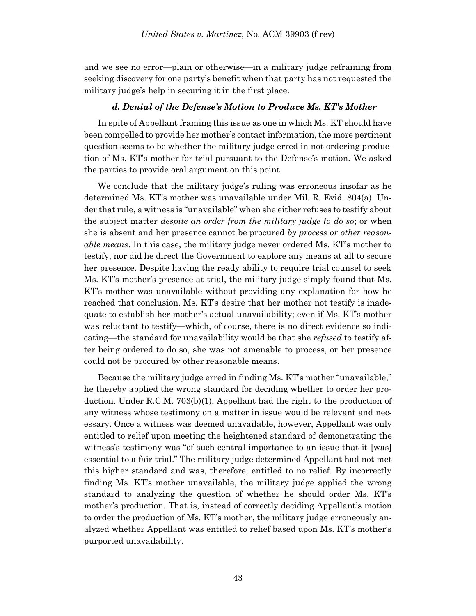and we see no error—plain or otherwise—in a military judge refraining from seeking discovery for one party's benefit when that party has not requested the military judge's help in securing it in the first place.

#### *d. Denial of the Defense's Motion to Produce Ms. KT's Mother*

In spite of Appellant framing this issue as one in which Ms. KT should have been compelled to provide her mother's contact information, the more pertinent question seems to be whether the military judge erred in not ordering production of Ms. KT's mother for trial pursuant to the Defense's motion. We asked the parties to provide oral argument on this point.

We conclude that the military judge's ruling was erroneous insofar as he determined Ms. KT's mother was unavailable under Mil. R. Evid. 804(a). Under that rule, a witness is "unavailable" when she either refuses to testify about the subject matter *despite an order from the military judge to do so*; or when she is absent and her presence cannot be procured *by process or other reasonable means*. In this case, the military judge never ordered Ms. KT's mother to testify, nor did he direct the Government to explore any means at all to secure her presence. Despite having the ready ability to require trial counsel to seek Ms. KT's mother's presence at trial, the military judge simply found that Ms. KT's mother was unavailable without providing any explanation for how he reached that conclusion. Ms. KT's desire that her mother not testify is inadequate to establish her mother's actual unavailability; even if Ms. KT's mother was reluctant to testify—which, of course, there is no direct evidence so indicating—the standard for unavailability would be that she *refused* to testify after being ordered to do so, she was not amenable to process, or her presence could not be procured by other reasonable means.

Because the military judge erred in finding Ms. KT's mother "unavailable," he thereby applied the wrong standard for deciding whether to order her production. Under R.C.M. 703(b)(1), Appellant had the right to the production of any witness whose testimony on a matter in issue would be relevant and necessary. Once a witness was deemed unavailable, however, Appellant was only entitled to relief upon meeting the heightened standard of demonstrating the witness's testimony was "of such central importance to an issue that it [was] essential to a fair trial." The military judge determined Appellant had not met this higher standard and was, therefore, entitled to no relief. By incorrectly finding Ms. KT's mother unavailable, the military judge applied the wrong standard to analyzing the question of whether he should order Ms. KT's mother's production. That is, instead of correctly deciding Appellant's motion to order the production of Ms. KT's mother, the military judge erroneously analyzed whether Appellant was entitled to relief based upon Ms. KT's mother's purported unavailability.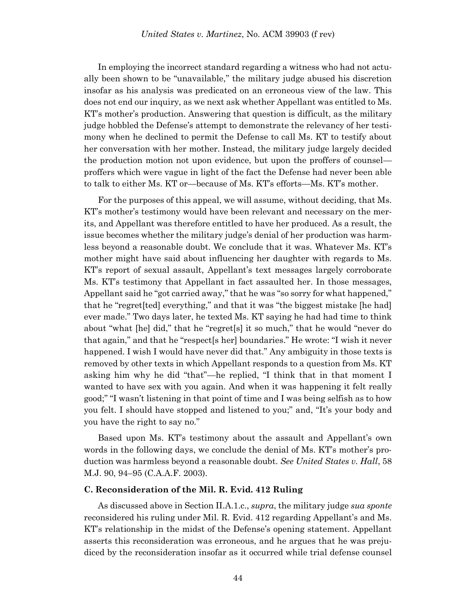In employing the incorrect standard regarding a witness who had not actually been shown to be "unavailable," the military judge abused his discretion insofar as his analysis was predicated on an erroneous view of the law. This does not end our inquiry, as we next ask whether Appellant was entitled to Ms. KT's mother's production. Answering that question is difficult, as the military judge hobbled the Defense's attempt to demonstrate the relevancy of her testimony when he declined to permit the Defense to call Ms. KT to testify about her conversation with her mother. Instead, the military judge largely decided the production motion not upon evidence, but upon the proffers of counsel proffers which were vague in light of the fact the Defense had never been able to talk to either Ms. KT or—because of Ms. KT's efforts—Ms. KT's mother.

For the purposes of this appeal, we will assume, without deciding, that Ms. KT's mother's testimony would have been relevant and necessary on the merits, and Appellant was therefore entitled to have her produced. As a result, the issue becomes whether the military judge's denial of her production was harmless beyond a reasonable doubt. We conclude that it was. Whatever Ms. KT's mother might have said about influencing her daughter with regards to Ms. KT's report of sexual assault, Appellant's text messages largely corroborate Ms. KT's testimony that Appellant in fact assaulted her. In those messages, Appellant said he "got carried away," that he was "so sorry for what happened," that he "regret[ted] everything," and that it was "the biggest mistake [he had] ever made." Two days later, he texted Ms. KT saying he had had time to think about "what [he] did," that he "regret[s] it so much," that he would "never do that again," and that he "respect[s her] boundaries." He wrote: "I wish it never happened. I wish I would have never did that." Any ambiguity in those texts is removed by other texts in which Appellant responds to a question from Ms. KT asking him why he did "that"—he replied, "I think that in that moment I wanted to have sex with you again. And when it was happening it felt really good;" "I wasn't listening in that point of time and I was being selfish as to how you felt. I should have stopped and listened to you;" and, "It's your body and you have the right to say no."

Based upon Ms. KT's testimony about the assault and Appellant's own words in the following days, we conclude the denial of Ms. KT's mother's production was harmless beyond a reasonable doubt. *See United States v. Hall*, 58 M.J. 90, 94–95 (C.A.A.F. 2003).

#### **C. Reconsideration of the Mil. R. Evid. 412 Ruling**

As discussed above in Section II.A.1.c., *supra*, the military judge *sua sponte* reconsidered his ruling under Mil. R. Evid. 412 regarding Appellant's and Ms. KT's relationship in the midst of the Defense's opening statement. Appellant asserts this reconsideration was erroneous, and he argues that he was prejudiced by the reconsideration insofar as it occurred while trial defense counsel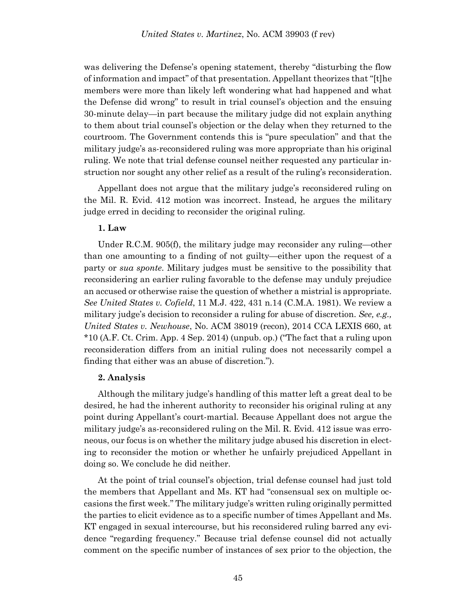was delivering the Defense's opening statement, thereby "disturbing the flow of information and impact" of that presentation. Appellant theorizes that "[t]he members were more than likely left wondering what had happened and what the Defense did wrong" to result in trial counsel's objection and the ensuing 30-minute delay—in part because the military judge did not explain anything to them about trial counsel's objection or the delay when they returned to the courtroom. The Government contends this is "pure speculation" and that the military judge's as-reconsidered ruling was more appropriate than his original ruling. We note that trial defense counsel neither requested any particular instruction nor sought any other relief as a result of the ruling's reconsideration.

Appellant does not argue that the military judge's reconsidered ruling on the Mil. R. Evid. 412 motion was incorrect. Instead, he argues the military judge erred in deciding to reconsider the original ruling.

### **1. Law**

Under R.C.M. 905(f), the military judge may reconsider any ruling—other than one amounting to a finding of not guilty—either upon the request of a party or *sua sponte*. Military judges must be sensitive to the possibility that reconsidering an earlier ruling favorable to the defense may unduly prejudice an accused or otherwise raise the question of whether a mistrial is appropriate. *See United States v. Cofield*, 11 M.J. 422, 431 n.14 (C.M.A. 1981). We review a military judge's decision to reconsider a ruling for abuse of discretion. *See, e.g., United States v. Newhouse*, No. ACM 38019 (recon), 2014 CCA LEXIS 660, at \*10 (A.F. Ct. Crim. App. 4 Sep. 2014) (unpub. op.) ("The fact that a ruling upon reconsideration differs from an initial ruling does not necessarily compel a finding that either was an abuse of discretion.").

#### **2. Analysis**

Although the military judge's handling of this matter left a great deal to be desired, he had the inherent authority to reconsider his original ruling at any point during Appellant's court-martial. Because Appellant does not argue the military judge's as-reconsidered ruling on the Mil. R. Evid. 412 issue was erroneous, our focus is on whether the military judge abused his discretion in electing to reconsider the motion or whether he unfairly prejudiced Appellant in doing so. We conclude he did neither.

At the point of trial counsel's objection, trial defense counsel had just told the members that Appellant and Ms. KT had "consensual sex on multiple occasions the first week." The military judge's written ruling originally permitted the parties to elicit evidence as to a specific number of times Appellant and Ms. KT engaged in sexual intercourse, but his reconsidered ruling barred any evidence "regarding frequency." Because trial defense counsel did not actually comment on the specific number of instances of sex prior to the objection, the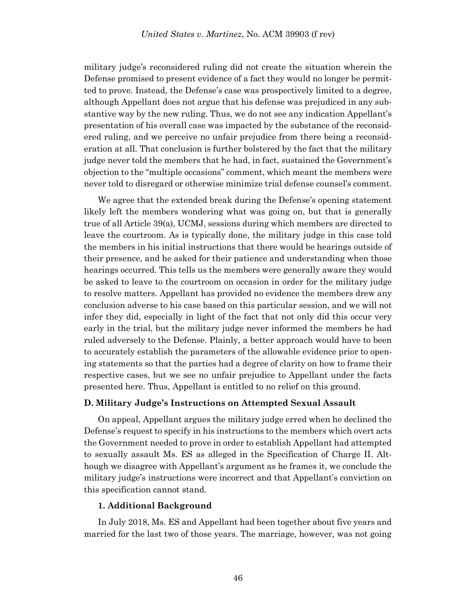military judge's reconsidered ruling did not create the situation wherein the Defense promised to present evidence of a fact they would no longer be permitted to prove. Instead, the Defense's case was prospectively limited to a degree, although Appellant does not argue that his defense was prejudiced in any substantive way by the new ruling. Thus, we do not see any indication Appellant's presentation of his overall case was impacted by the substance of the reconsidered ruling, and we perceive no unfair prejudice from there being a reconsideration at all. That conclusion is further bolstered by the fact that the military judge never told the members that he had, in fact, sustained the Government's objection to the "multiple occasions" comment, which meant the members were never told to disregard or otherwise minimize trial defense counsel's comment.

We agree that the extended break during the Defense's opening statement likely left the members wondering what was going on, but that is generally true of all Article 39(a), UCMJ, sessions during which members are directed to leave the courtroom. As is typically done, the military judge in this case told the members in his initial instructions that there would be hearings outside of their presence, and he asked for their patience and understanding when those hearings occurred. This tells us the members were generally aware they would be asked to leave to the courtroom on occasion in order for the military judge to resolve matters. Appellant has provided no evidence the members drew any conclusion adverse to his case based on this particular session, and we will not infer they did, especially in light of the fact that not only did this occur very early in the trial, but the military judge never informed the members he had ruled adversely to the Defense. Plainly, a better approach would have to been to accurately establish the parameters of the allowable evidence prior to opening statements so that the parties had a degree of clarity on how to frame their respective cases, but we see no unfair prejudice to Appellant under the facts presented here. Thus, Appellant is entitled to no relief on this ground.

### **D. Military Judge's Instructions on Attempted Sexual Assault**

On appeal, Appellant argues the military judge erred when he declined the Defense's request to specify in his instructions to the members which overt acts the Government needed to prove in order to establish Appellant had attempted to sexually assault Ms. ES as alleged in the Specification of Charge II. Although we disagree with Appellant's argument as he frames it, we conclude the military judge's instructions were incorrect and that Appellant's conviction on this specification cannot stand.

#### **1. Additional Background**

In July 2018, Ms. ES and Appellant had been together about five years and married for the last two of those years. The marriage, however, was not going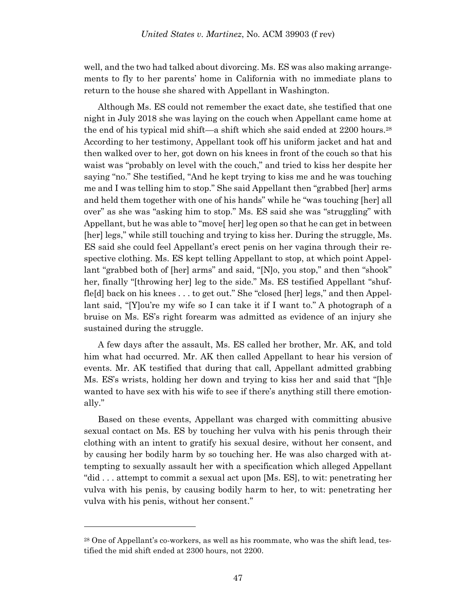well, and the two had talked about divorcing. Ms. ES was also making arrangements to fly to her parents' home in California with no immediate plans to return to the house she shared with Appellant in Washington.

Although Ms. ES could not remember the exact date, she testified that one night in July 2018 she was laying on the couch when Appellant came home at the end of his typical mid shift—a shift which she said ended at 2200 hours.<sup>28</sup> According to her testimony, Appellant took off his uniform jacket and hat and then walked over to her, got down on his knees in front of the couch so that his waist was "probably on level with the couch," and tried to kiss her despite her saying "no." She testified, "And he kept trying to kiss me and he was touching me and I was telling him to stop." She said Appellant then "grabbed [her] arms and held them together with one of his hands" while he "was touching [her] all over" as she was "asking him to stop." Ms. ES said she was "struggling" with Appellant, but he was able to "move[ her] leg open so that he can get in between [her] legs," while still touching and trying to kiss her. During the struggle, Ms. ES said she could feel Appellant's erect penis on her vagina through their respective clothing. Ms. ES kept telling Appellant to stop, at which point Appellant "grabbed both of [her] arms" and said, "[N]o, you stop," and then "shook" her, finally "[throwing her] leg to the side." Ms. ES testified Appellant "shuffle[d] back on his knees . . . to get out." She "closed [her] legs," and then Appellant said, "[Y]ou're my wife so I can take it if I want to." A photograph of a bruise on Ms. ES's right forearm was admitted as evidence of an injury she sustained during the struggle.

A few days after the assault, Ms. ES called her brother, Mr. AK, and told him what had occurred. Mr. AK then called Appellant to hear his version of events. Mr. AK testified that during that call, Appellant admitted grabbing Ms. ES's wrists, holding her down and trying to kiss her and said that "[h]e wanted to have sex with his wife to see if there's anything still there emotionally."

Based on these events, Appellant was charged with committing abusive sexual contact on Ms. ES by touching her vulva with his penis through their clothing with an intent to gratify his sexual desire, without her consent, and by causing her bodily harm by so touching her. He was also charged with attempting to sexually assault her with a specification which alleged Appellant "did . . . attempt to commit a sexual act upon [Ms. ES], to wit: penetrating her vulva with his penis, by causing bodily harm to her, to wit: penetrating her vulva with his penis, without her consent."

<sup>28</sup> One of Appellant's co-workers, as well as his roommate, who was the shift lead, testified the mid shift ended at 2300 hours, not 2200.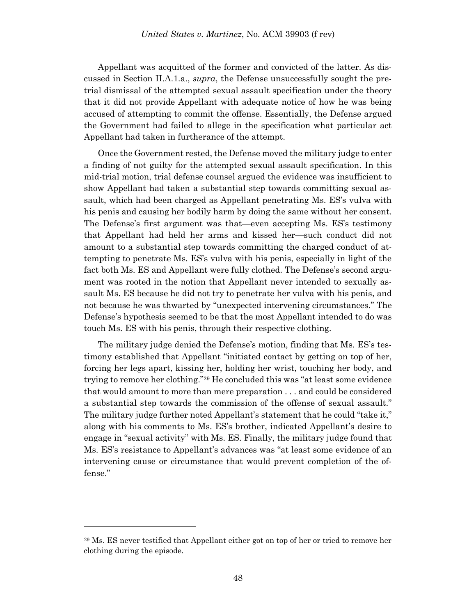Appellant was acquitted of the former and convicted of the latter. As discussed in Section II.A.1.a., *supra*, the Defense unsuccessfully sought the pretrial dismissal of the attempted sexual assault specification under the theory that it did not provide Appellant with adequate notice of how he was being accused of attempting to commit the offense. Essentially, the Defense argued the Government had failed to allege in the specification what particular act Appellant had taken in furtherance of the attempt.

Once the Government rested, the Defense moved the military judge to enter a finding of not guilty for the attempted sexual assault specification. In this mid-trial motion, trial defense counsel argued the evidence was insufficient to show Appellant had taken a substantial step towards committing sexual assault, which had been charged as Appellant penetrating Ms. ES's vulva with his penis and causing her bodily harm by doing the same without her consent. The Defense's first argument was that—even accepting Ms. ES's testimony that Appellant had held her arms and kissed her—such conduct did not amount to a substantial step towards committing the charged conduct of attempting to penetrate Ms. ES's vulva with his penis, especially in light of the fact both Ms. ES and Appellant were fully clothed. The Defense's second argument was rooted in the notion that Appellant never intended to sexually assault Ms. ES because he did not try to penetrate her vulva with his penis, and not because he was thwarted by "unexpected intervening circumstances." The Defense's hypothesis seemed to be that the most Appellant intended to do was touch Ms. ES with his penis, through their respective clothing.

The military judge denied the Defense's motion, finding that Ms. ES's testimony established that Appellant "initiated contact by getting on top of her, forcing her legs apart, kissing her, holding her wrist, touching her body, and trying to remove her clothing."<sup>29</sup> He concluded this was "at least some evidence that would amount to more than mere preparation . . . and could be considered a substantial step towards the commission of the offense of sexual assault." The military judge further noted Appellant's statement that he could "take it," along with his comments to Ms. ES's brother, indicated Appellant's desire to engage in "sexual activity" with Ms. ES. Finally, the military judge found that Ms. ES's resistance to Appellant's advances was "at least some evidence of an intervening cause or circumstance that would prevent completion of the offense."

<sup>29</sup> Ms. ES never testified that Appellant either got on top of her or tried to remove her clothing during the episode.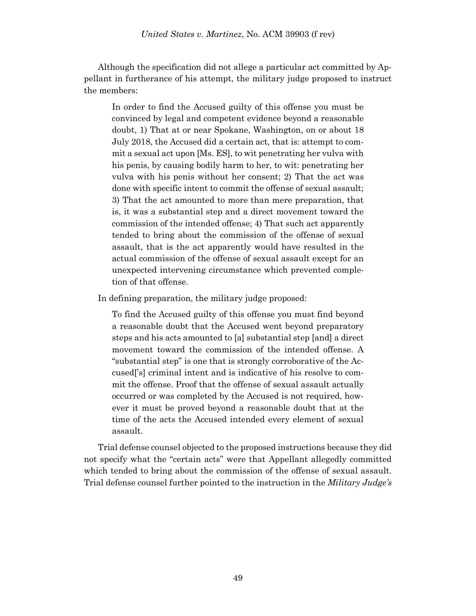Although the specification did not allege a particular act committed by Appellant in furtherance of his attempt, the military judge proposed to instruct the members:

In order to find the Accused guilty of this offense you must be convinced by legal and competent evidence beyond a reasonable doubt, 1) That at or near Spokane, Washington, on or about 18 July 2018, the Accused did a certain act, that is: attempt to commit a sexual act upon [Ms. ES], to wit penetrating her vulva with his penis, by causing bodily harm to her, to wit: penetrating her vulva with his penis without her consent; 2) That the act was done with specific intent to commit the offense of sexual assault; 3) That the act amounted to more than mere preparation, that is, it was a substantial step and a direct movement toward the commission of the intended offense; 4) That such act apparently tended to bring about the commission of the offense of sexual assault, that is the act apparently would have resulted in the actual commission of the offense of sexual assault except for an unexpected intervening circumstance which prevented completion of that offense.

In defining preparation, the military judge proposed:

To find the Accused guilty of this offense you must find beyond a reasonable doubt that the Accused went beyond preparatory steps and his acts amounted to [a] substantial step [and] a direct movement toward the commission of the intended offense. A "substantial step" is one that is strongly corroborative of the Accused['s] criminal intent and is indicative of his resolve to commit the offense. Proof that the offense of sexual assault actually occurred or was completed by the Accused is not required, however it must be proved beyond a reasonable doubt that at the time of the acts the Accused intended every element of sexual assault.

Trial defense counsel objected to the proposed instructions because they did not specify what the "certain acts" were that Appellant allegedly committed which tended to bring about the commission of the offense of sexual assault. Trial defense counsel further pointed to the instruction in the *Military Judge's*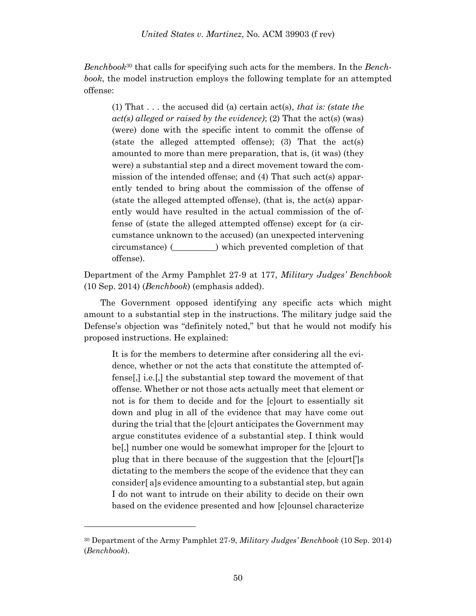*Benchbook*<sup>30</sup> that calls for specifying such acts for the members. In the *Benchbook*, the model instruction employs the following template for an attempted offense:

(1) That . . . the accused did (a) certain act(s), *that is: (state the act(s) alleged or raised by the evidence)*; (2) That the act(s) (was) (were) done with the specific intent to commit the offense of (state the alleged attempted offense); (3) That the act(s) amounted to more than mere preparation, that is, (it was) (they were) a substantial step and a direct movement toward the commission of the intended offense; and (4) That such act(s) apparently tended to bring about the commission of the offense of (state the alleged attempted offense), (that is, the act(s) apparently would have resulted in the actual commission of the offense of (state the alleged attempted offense) except for (a circumstance unknown to the accused) (an unexpected intervening circumstance) (\_\_\_\_\_\_\_\_\_\_) which prevented completion of that offense).

Department of the Army Pamphlet 27-9 at 177, *Military Judges' Benchbook* (10 Sep. 2014) (*Benchbook*) (emphasis added).

The Government opposed identifying any specific acts which might amount to a substantial step in the instructions. The military judge said the Defense's objection was "definitely noted," but that he would not modify his proposed instructions. He explained:

It is for the members to determine after considering all the evidence, whether or not the acts that constitute the attempted offense[,] i.e.[,] the substantial step toward the movement of that offense. Whether or not those acts actually meet that element or not is for them to decide and for the [c]ourt to essentially sit down and plug in all of the evidence that may have come out during the trial that the [c]ourt anticipates the Government may argue constitutes evidence of a substantial step. I think would be[,] number one would be somewhat improper for the [c]ourt to plug that in there because of the suggestion that the [c]ourt[']s dictating to the members the scope of the evidence that they can consider[ a]s evidence amounting to a substantial step, but again I do not want to intrude on their ability to decide on their own based on the evidence presented and how [c]ounsel characterize

<sup>30</sup> Department of the Army Pamphlet 27-9, *Military Judges' Benchbook* (10 Sep. 2014) (*Benchbook*).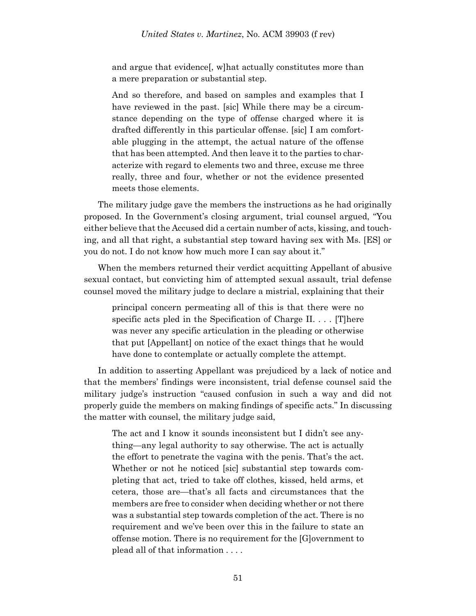and argue that evidence[, w]hat actually constitutes more than a mere preparation or substantial step.

And so therefore, and based on samples and examples that I have reviewed in the past. [sic] While there may be a circumstance depending on the type of offense charged where it is drafted differently in this particular offense. [sic] I am comfortable plugging in the attempt, the actual nature of the offense that has been attempted. And then leave it to the parties to characterize with regard to elements two and three, excuse me three really, three and four, whether or not the evidence presented meets those elements.

The military judge gave the members the instructions as he had originally proposed. In the Government's closing argument, trial counsel argued, "You either believe that the Accused did a certain number of acts, kissing, and touching, and all that right, a substantial step toward having sex with Ms. [ES] or you do not. I do not know how much more I can say about it."

When the members returned their verdict acquitting Appellant of abusive sexual contact, but convicting him of attempted sexual assault, trial defense counsel moved the military judge to declare a mistrial, explaining that their

principal concern permeating all of this is that there were no specific acts pled in the Specification of Charge II. . . . [T]here was never any specific articulation in the pleading or otherwise that put [Appellant] on notice of the exact things that he would have done to contemplate or actually complete the attempt.

In addition to asserting Appellant was prejudiced by a lack of notice and that the members' findings were inconsistent, trial defense counsel said the military judge's instruction "caused confusion in such a way and did not properly guide the members on making findings of specific acts." In discussing the matter with counsel, the military judge said,

The act and I know it sounds inconsistent but I didn't see anything—any legal authority to say otherwise. The act is actually the effort to penetrate the vagina with the penis. That's the act. Whether or not he noticed [sic] substantial step towards completing that act, tried to take off clothes, kissed, held arms, et cetera, those are—that's all facts and circumstances that the members are free to consider when deciding whether or not there was a substantial step towards completion of the act. There is no requirement and we've been over this in the failure to state an offense motion. There is no requirement for the [G]overnment to plead all of that information . . . .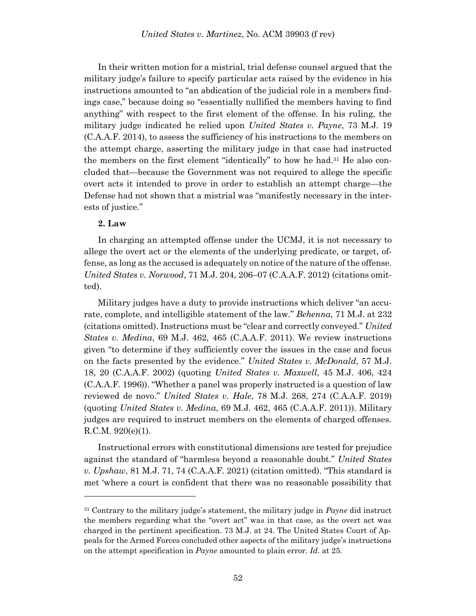In their written motion for a mistrial, trial defense counsel argued that the military judge's failure to specify particular acts raised by the evidence in his instructions amounted to "an abdication of the judicial role in a members findings case," because doing so "essentially nullified the members having to find anything" with respect to the first element of the offense. In his ruling, the military judge indicated he relied upon *United States v. Payne*, 73 M.J. 19 (C.A.A.F. 2014), to assess the sufficiency of his instructions to the members on the attempt charge, asserting the military judge in that case had instructed the members on the first element "identically" to how he had.<sup>31</sup> He also concluded that—because the Government was not required to allege the specific overt acts it intended to prove in order to establish an attempt charge—the Defense had not shown that a mistrial was "manifestly necessary in the interests of justice."

#### **2. Law**

l

In charging an attempted offense under the UCMJ, it is not necessary to allege the overt act or the elements of the underlying predicate, or target, offense, as long as the accused is adequately on notice of the nature of the offense. *United States v. Norwood*, 71 M.J. 204, 206–07 (C.A.A.F. 2012) (citations omitted).

Military judges have a duty to provide instructions which deliver "an accurate, complete, and intelligible statement of the law." *Behenna*, 71 M.J. at 232 (citations omitted). Instructions must be "clear and correctly conveyed." *United States v. Medina*, 69 M.J. 462, 465 (C.A.A.F. 2011). We review instructions given "to determine if they sufficiently cover the issues in the case and focus on the facts presented by the evidence." *United States v. McDonald*, 57 M.J. 18, 20 (C.A.A.F. 2002) (quoting *United States v. Maxwell*, 45 M.J. 406, 424 (C.A.A.F. 1996)). "Whether a panel was properly instructed is a question of law reviewed de novo." *United States v. Hale*, 78 M.J. 268, 274 (C.A.A.F. 2019) (quoting *United States v. Medina*, 69 M.J. 462, 465 (C.A.A.F. 2011)). Military judges are required to instruct members on the elements of charged offenses. R.C.M. 920(e)(1).

Instructional errors with constitutional dimensions are tested for prejudice against the standard of "harmless beyond a reasonable doubt." *United States v. Upshaw*, 81 M.J. 71, 74 (C.A.A.F. 2021) (citation omitted). "This standard is met 'where a court is confident that there was no reasonable possibility that

<sup>31</sup> Contrary to the military judge's statement, the military judge in *Payne* did instruct the members regarding what the "overt act" was in that case, as the overt act was charged in the pertinent specification. 73 M.J. at 24. The United States Court of Appeals for the Armed Forces concluded other aspects of the military judge's instructions on the attempt specification in *Payne* amounted to plain error. *Id*. at 25.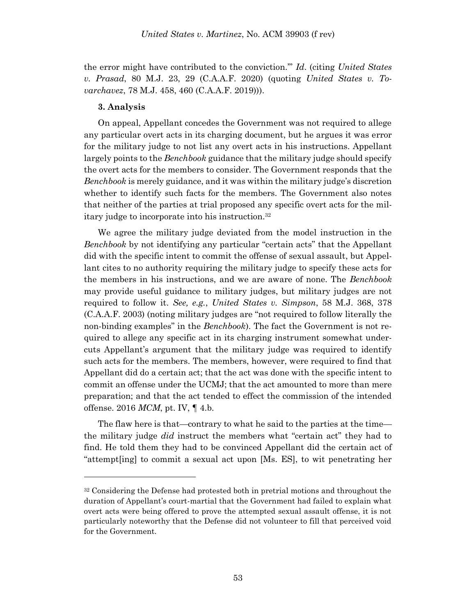the error might have contributed to the conviction.'" *Id*. (citing *United States v. Prasad*, 80 M.J. 23, 29 (C.A.A.F. 2020) (quoting *United States v. Tovarchavez*, 78 M.J. 458, 460 (C.A.A.F. 2019))).

### **3. Analysis**

l

On appeal, Appellant concedes the Government was not required to allege any particular overt acts in its charging document, but he argues it was error for the military judge to not list any overt acts in his instructions. Appellant largely points to the *Benchbook* guidance that the military judge should specify the overt acts for the members to consider. The Government responds that the *Benchbook* is merely guidance, and it was within the military judge's discretion whether to identify such facts for the members. The Government also notes that neither of the parties at trial proposed any specific overt acts for the military judge to incorporate into his instruction.<sup>32</sup>

We agree the military judge deviated from the model instruction in the *Benchbook* by not identifying any particular "certain acts" that the Appellant did with the specific intent to commit the offense of sexual assault, but Appellant cites to no authority requiring the military judge to specify these acts for the members in his instructions, and we are aware of none. The *Benchbook* may provide useful guidance to military judges, but military judges are not required to follow it. *See, e.g.*, *United States v. Simpson*, 58 M.J. 368, 378 (C.A.A.F. 2003) (noting military judges are "not required to follow literally the non-binding examples" in the *Benchbook*). The fact the Government is not required to allege any specific act in its charging instrument somewhat undercuts Appellant's argument that the military judge was required to identify such acts for the members. The members, however, were required to find that Appellant did do a certain act; that the act was done with the specific intent to commit an offense under the UCMJ; that the act amounted to more than mere preparation; and that the act tended to effect the commission of the intended offense. 2016 *MCM*, pt. IV, ¶ 4.b.

The flaw here is that—contrary to what he said to the parties at the time the military judge *did* instruct the members what "certain act" they had to find. He told them they had to be convinced Appellant did the certain act of "attempt[ing] to commit a sexual act upon [Ms. ES], to wit penetrating her

<sup>&</sup>lt;sup>32</sup> Considering the Defense had protested both in pretrial motions and throughout the duration of Appellant's court-martial that the Government had failed to explain what overt acts were being offered to prove the attempted sexual assault offense, it is not particularly noteworthy that the Defense did not volunteer to fill that perceived void for the Government.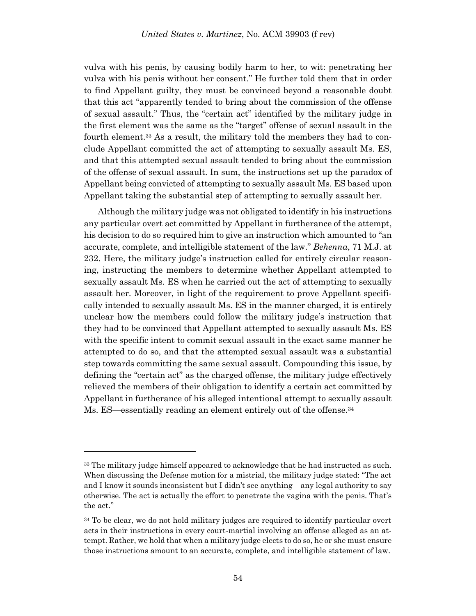vulva with his penis, by causing bodily harm to her, to wit: penetrating her vulva with his penis without her consent." He further told them that in order to find Appellant guilty, they must be convinced beyond a reasonable doubt that this act "apparently tended to bring about the commission of the offense of sexual assault." Thus, the "certain act" identified by the military judge in the first element was the same as the "target" offense of sexual assault in the fourth element.<sup>33</sup> As a result, the military told the members they had to conclude Appellant committed the act of attempting to sexually assault Ms. ES, and that this attempted sexual assault tended to bring about the commission of the offense of sexual assault. In sum, the instructions set up the paradox of Appellant being convicted of attempting to sexually assault Ms. ES based upon Appellant taking the substantial step of attempting to sexually assault her.

Although the military judge was not obligated to identify in his instructions any particular overt act committed by Appellant in furtherance of the attempt, his decision to do so required him to give an instruction which amounted to "an accurate, complete, and intelligible statement of the law." *Behenna*, 71 M.J. at 232. Here, the military judge's instruction called for entirely circular reasoning, instructing the members to determine whether Appellant attempted to sexually assault Ms. ES when he carried out the act of attempting to sexually assault her. Moreover, in light of the requirement to prove Appellant specifically intended to sexually assault Ms. ES in the manner charged, it is entirely unclear how the members could follow the military judge's instruction that they had to be convinced that Appellant attempted to sexually assault Ms. ES with the specific intent to commit sexual assault in the exact same manner he attempted to do so, and that the attempted sexual assault was a substantial step towards committing the same sexual assault. Compounding this issue, by defining the "certain act" as the charged offense, the military judge effectively relieved the members of their obligation to identify a certain act committed by Appellant in furtherance of his alleged intentional attempt to sexually assault Ms. ES—essentially reading an element entirely out of the offense.<sup>34</sup>

<sup>33</sup> The military judge himself appeared to acknowledge that he had instructed as such. When discussing the Defense motion for a mistrial, the military judge stated: "The act and I know it sounds inconsistent but I didn't see anything—any legal authority to say otherwise. The act is actually the effort to penetrate the vagina with the penis. That's the act."

<sup>&</sup>lt;sup>34</sup> To be clear, we do not hold military judges are required to identify particular overt acts in their instructions in every court-martial involving an offense alleged as an attempt. Rather, we hold that when a military judge elects to do so, he or she must ensure those instructions amount to an accurate, complete, and intelligible statement of law.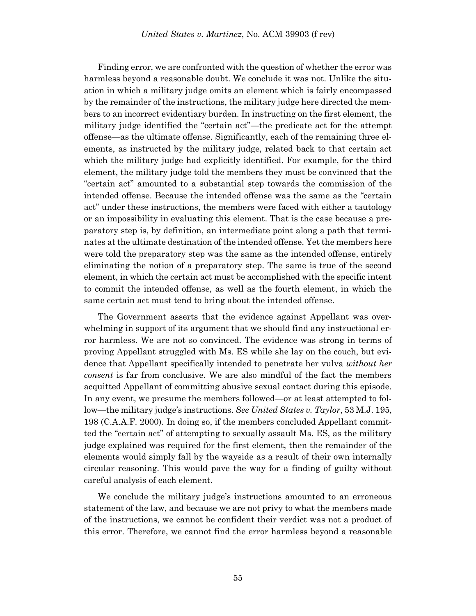Finding error, we are confronted with the question of whether the error was harmless beyond a reasonable doubt. We conclude it was not. Unlike the situation in which a military judge omits an element which is fairly encompassed by the remainder of the instructions, the military judge here directed the members to an incorrect evidentiary burden. In instructing on the first element, the military judge identified the "certain act"—the predicate act for the attempt offense—as the ultimate offense. Significantly, each of the remaining three elements, as instructed by the military judge, related back to that certain act which the military judge had explicitly identified. For example, for the third element, the military judge told the members they must be convinced that the "certain act" amounted to a substantial step towards the commission of the intended offense. Because the intended offense was the same as the "certain act" under these instructions, the members were faced with either a tautology or an impossibility in evaluating this element. That is the case because a preparatory step is, by definition, an intermediate point along a path that terminates at the ultimate destination of the intended offense. Yet the members here were told the preparatory step was the same as the intended offense, entirely eliminating the notion of a preparatory step. The same is true of the second element, in which the certain act must be accomplished with the specific intent to commit the intended offense, as well as the fourth element, in which the same certain act must tend to bring about the intended offense.

The Government asserts that the evidence against Appellant was overwhelming in support of its argument that we should find any instructional error harmless. We are not so convinced. The evidence was strong in terms of proving Appellant struggled with Ms. ES while she lay on the couch, but evidence that Appellant specifically intended to penetrate her vulva *without her consent* is far from conclusive. We are also mindful of the fact the members acquitted Appellant of committing abusive sexual contact during this episode. In any event, we presume the members followed—or at least attempted to follow—the military judge's instructions. *See United States v. Taylor*, 53 M.J. 195, 198 (C.A.A.F. 2000). In doing so, if the members concluded Appellant committed the "certain act" of attempting to sexually assault Ms. ES, as the military judge explained was required for the first element, then the remainder of the elements would simply fall by the wayside as a result of their own internally circular reasoning. This would pave the way for a finding of guilty without careful analysis of each element.

We conclude the military judge's instructions amounted to an erroneous statement of the law, and because we are not privy to what the members made of the instructions, we cannot be confident their verdict was not a product of this error. Therefore, we cannot find the error harmless beyond a reasonable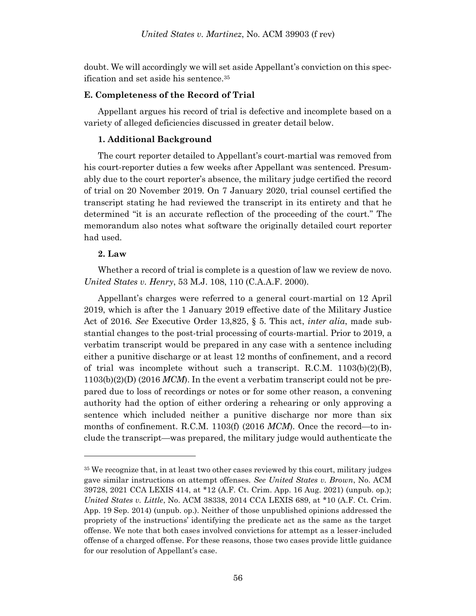doubt. We will accordingly we will set aside Appellant's conviction on this specification and set aside his sentence.<sup>35</sup>

### **E. Completeness of the Record of Trial**

Appellant argues his record of trial is defective and incomplete based on a variety of alleged deficiencies discussed in greater detail below.

### **1. Additional Background**

The court reporter detailed to Appellant's court-martial was removed from his court-reporter duties a few weeks after Appellant was sentenced. Presumably due to the court reporter's absence, the military judge certified the record of trial on 20 November 2019. On 7 January 2020, trial counsel certified the transcript stating he had reviewed the transcript in its entirety and that he determined "it is an accurate reflection of the proceeding of the court." The memorandum also notes what software the originally detailed court reporter had used.

### **2. Law**

l

Whether a record of trial is complete is a question of law we review de novo. *United States v. Henry*, 53 M.J. 108, 110 (C.A.A.F. 2000).

Appellant's charges were referred to a general court-martial on 12 April 2019, which is after the 1 January 2019 effective date of the Military Justice Act of 2016. *See* Executive Order 13,825, § 5. This act, *inter alia*, made substantial changes to the post-trial processing of courts-martial. Prior to 2019, a verbatim transcript would be prepared in any case with a sentence including either a punitive discharge or at least 12 months of confinement, and a record of trial was incomplete without such a transcript. R.C.M.  $1103(b)(2)(B)$ , 1103(b)(2)(D) (2016 *MCM*). In the event a verbatim transcript could not be prepared due to loss of recordings or notes or for some other reason, a convening authority had the option of either ordering a rehearing or only approving a sentence which included neither a punitive discharge nor more than six months of confinement. R.C.M. 1103(f) (2016 *MCM*). Once the record—to include the transcript—was prepared, the military judge would authenticate the

<sup>&</sup>lt;sup>35</sup> We recognize that, in at least two other cases reviewed by this court, military judges gave similar instructions on attempt offenses. *See United States v. Brown*, No. ACM 39728, 2021 CCA LEXIS 414, at \*12 (A.F. Ct. Crim. App. 16 Aug. 2021) (unpub. op.); *United States v. Little*, No. ACM 38338, 2014 CCA LEXIS 689, at \*10 (A.F. Ct. Crim. App. 19 Sep. 2014) (unpub. op.). Neither of those unpublished opinions addressed the propriety of the instructions' identifying the predicate act as the same as the target offense. We note that both cases involved convictions for attempt as a lesser-included offense of a charged offense. For these reasons, those two cases provide little guidance for our resolution of Appellant's case.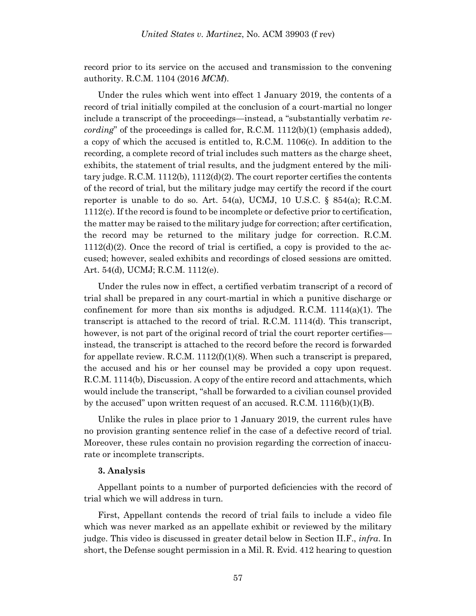record prior to its service on the accused and transmission to the convening authority. R.C.M. 1104 (2016 *MCM*).

Under the rules which went into effect 1 January 2019, the contents of a record of trial initially compiled at the conclusion of a court-martial no longer include a transcript of the proceedings—instead, a "substantially verbatim *recording*" of the proceedings is called for, R.C.M. 1112(b)(1) (emphasis added), a copy of which the accused is entitled to, R.C.M. 1106(c). In addition to the recording, a complete record of trial includes such matters as the charge sheet, exhibits, the statement of trial results, and the judgment entered by the military judge. R.C.M.  $1112(b)$ ,  $1112(d)(2)$ . The court reporter certifies the contents of the record of trial, but the military judge may certify the record if the court reporter is unable to do so. Art.  $54(a)$ , UCMJ, 10 U.S.C. §  $854(a)$ ; R.C.M. 1112(c). If the record is found to be incomplete or defective prior to certification, the matter may be raised to the military judge for correction; after certification, the record may be returned to the military judge for correction. R.C.M.  $1112(d)(2)$ . Once the record of trial is certified, a copy is provided to the accused; however, sealed exhibits and recordings of closed sessions are omitted. Art. 54(d), UCMJ; R.C.M. 1112(e).

Under the rules now in effect, a certified verbatim transcript of a record of trial shall be prepared in any court-martial in which a punitive discharge or confinement for more than six months is adjudged. R.C.M.  $1114(a)(1)$ . The transcript is attached to the record of trial. R.C.M. 1114(d). This transcript, however, is not part of the original record of trial the court reporter certifies instead, the transcript is attached to the record before the record is forwarded for appellate review. R.C.M.  $1112(f)(1)(8)$ . When such a transcript is prepared, the accused and his or her counsel may be provided a copy upon request. R.C.M. 1114(b), Discussion. A copy of the entire record and attachments, which would include the transcript, "shall be forwarded to a civilian counsel provided by the accused" upon written request of an accused. R.C.M. 1116(b)(1)(B).

Unlike the rules in place prior to 1 January 2019, the current rules have no provision granting sentence relief in the case of a defective record of trial. Moreover, these rules contain no provision regarding the correction of inaccurate or incomplete transcripts.

#### **3. Analysis**

Appellant points to a number of purported deficiencies with the record of trial which we will address in turn.

First, Appellant contends the record of trial fails to include a video file which was never marked as an appellate exhibit or reviewed by the military judge. This video is discussed in greater detail below in Section II.F., *infra*. In short, the Defense sought permission in a Mil. R. Evid. 412 hearing to question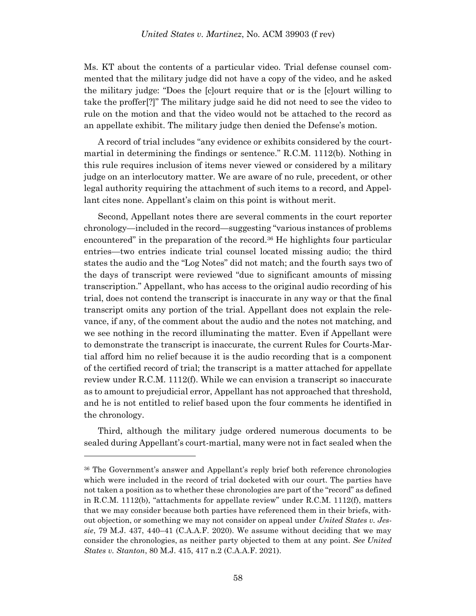Ms. KT about the contents of a particular video. Trial defense counsel commented that the military judge did not have a copy of the video, and he asked the military judge: "Does the [c]ourt require that or is the [c]ourt willing to take the proffer[?]" The military judge said he did not need to see the video to rule on the motion and that the video would not be attached to the record as an appellate exhibit. The military judge then denied the Defense's motion.

A record of trial includes "any evidence or exhibits considered by the courtmartial in determining the findings or sentence." R.C.M. 1112(b). Nothing in this rule requires inclusion of items never viewed or considered by a military judge on an interlocutory matter. We are aware of no rule, precedent, or other legal authority requiring the attachment of such items to a record, and Appellant cites none. Appellant's claim on this point is without merit.

Second, Appellant notes there are several comments in the court reporter chronology—included in the record—suggesting "various instances of problems encountered" in the preparation of the record.<sup>36</sup> He highlights four particular entries—two entries indicate trial counsel located missing audio; the third states the audio and the "Log Notes" did not match; and the fourth says two of the days of transcript were reviewed "due to significant amounts of missing transcription." Appellant, who has access to the original audio recording of his trial, does not contend the transcript is inaccurate in any way or that the final transcript omits any portion of the trial. Appellant does not explain the relevance, if any, of the comment about the audio and the notes not matching, and we see nothing in the record illuminating the matter. Even if Appellant were to demonstrate the transcript is inaccurate, the current Rules for Courts-Martial afford him no relief because it is the audio recording that is a component of the certified record of trial; the transcript is a matter attached for appellate review under R.C.M. 1112(f). While we can envision a transcript so inaccurate as to amount to prejudicial error, Appellant has not approached that threshold, and he is not entitled to relief based upon the four comments he identified in the chronology.

Third, although the military judge ordered numerous documents to be sealed during Appellant's court-martial, many were not in fact sealed when the

<sup>36</sup> The Government's answer and Appellant's reply brief both reference chronologies which were included in the record of trial docketed with our court. The parties have not taken a position as to whether these chronologies are part of the "record" as defined in R.C.M. 1112(b), "attachments for appellate review" under R.C.M. 1112(f), matters that we may consider because both parties have referenced them in their briefs, without objection, or something we may not consider on appeal under *United States v. Jessie*, 79 M.J. 437, 440–41 (C.A.A.F. 2020). We assume without deciding that we may consider the chronologies, as neither party objected to them at any point. *See United States v. Stanton*, 80 M.J. 415, 417 n.2 (C.A.A.F. 2021).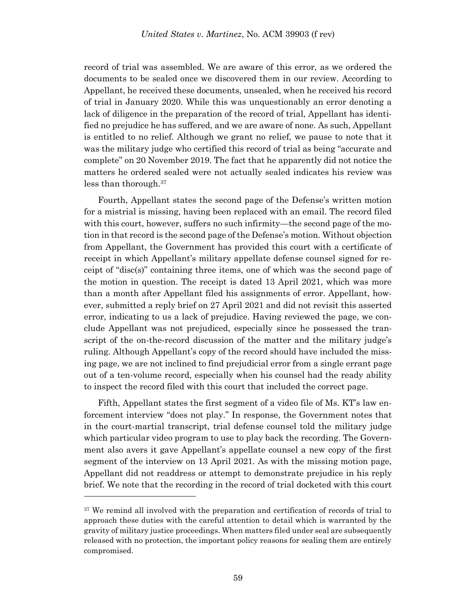record of trial was assembled. We are aware of this error, as we ordered the documents to be sealed once we discovered them in our review. According to Appellant, he received these documents, unsealed, when he received his record of trial in January 2020. While this was unquestionably an error denoting a lack of diligence in the preparation of the record of trial, Appellant has identified no prejudice he has suffered, and we are aware of none. As such, Appellant is entitled to no relief. Although we grant no relief, we pause to note that it was the military judge who certified this record of trial as being "accurate and complete" on 20 November 2019. The fact that he apparently did not notice the matters he ordered sealed were not actually sealed indicates his review was less than thorough.<sup>37</sup>

Fourth, Appellant states the second page of the Defense's written motion for a mistrial is missing, having been replaced with an email. The record filed with this court, however, suffers no such infirmity—the second page of the motion in that record is the second page of the Defense's motion. Without objection from Appellant, the Government has provided this court with a certificate of receipt in which Appellant's military appellate defense counsel signed for receipt of "disc(s)" containing three items, one of which was the second page of the motion in question. The receipt is dated 13 April 2021, which was more than a month after Appellant filed his assignments of error. Appellant, however, submitted a reply brief on 27 April 2021 and did not revisit this asserted error, indicating to us a lack of prejudice. Having reviewed the page, we conclude Appellant was not prejudiced, especially since he possessed the transcript of the on-the-record discussion of the matter and the military judge's ruling. Although Appellant's copy of the record should have included the missing page, we are not inclined to find prejudicial error from a single errant page out of a ten-volume record, especially when his counsel had the ready ability to inspect the record filed with this court that included the correct page.

Fifth, Appellant states the first segment of a video file of Ms. KT's law enforcement interview "does not play." In response, the Government notes that in the court-martial transcript, trial defense counsel told the military judge which particular video program to use to play back the recording. The Government also avers it gave Appellant's appellate counsel a new copy of the first segment of the interview on 13 April 2021. As with the missing motion page, Appellant did not readdress or attempt to demonstrate prejudice in his reply brief. We note that the recording in the record of trial docketed with this court

<sup>&</sup>lt;sup>37</sup> We remind all involved with the preparation and certification of records of trial to approach these duties with the careful attention to detail which is warranted by the gravity of military justice proceedings. When matters filed under seal are subsequently released with no protection, the important policy reasons for sealing them are entirely compromised.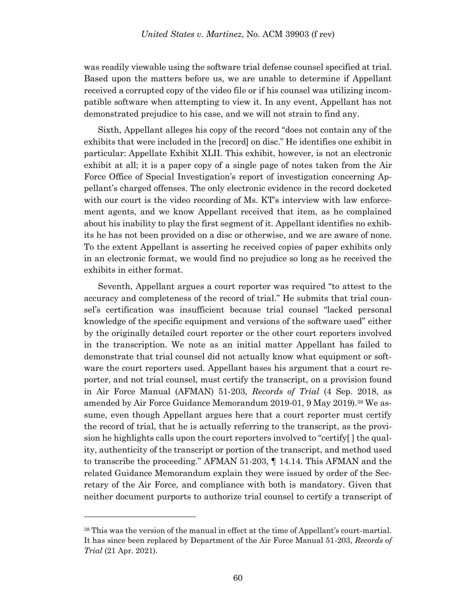was readily viewable using the software trial defense counsel specified at trial. Based upon the matters before us, we are unable to determine if Appellant received a corrupted copy of the video file or if his counsel was utilizing incompatible software when attempting to view it. In any event, Appellant has not demonstrated prejudice to his case, and we will not strain to find any.

Sixth, Appellant alleges his copy of the record "does not contain any of the exhibits that were included in the [record] on disc." He identifies one exhibit in particular: Appellate Exhibit XLII. This exhibit, however, is not an electronic exhibit at all; it is a paper copy of a single page of notes taken from the Air Force Office of Special Investigation's report of investigation concerning Appellant's charged offenses. The only electronic evidence in the record docketed with our court is the video recording of Ms. KT's interview with law enforcement agents, and we know Appellant received that item, as he complained about his inability to play the first segment of it. Appellant identifies no exhibits he has not been provided on a disc or otherwise, and we are aware of none. To the extent Appellant is asserting he received copies of paper exhibits only in an electronic format, we would find no prejudice so long as he received the exhibits in either format.

Seventh, Appellant argues a court reporter was required "to attest to the accuracy and completeness of the record of trial." He submits that trial counsel's certification was insufficient because trial counsel "lacked personal knowledge of the specific equipment and versions of the software used" either by the originally detailed court reporter or the other court reporters involved in the transcription. We note as an initial matter Appellant has failed to demonstrate that trial counsel did not actually know what equipment or software the court reporters used. Appellant bases his argument that a court reporter, and not trial counsel, must certify the transcript, on a provision found in Air Force Manual (AFMAN) 51-203, *Records of Trial* (4 Sep. 2018, as amended by Air Force Guidance Memorandum 2019-01, 9 May 2019).<sup>38</sup> We assume, even though Appellant argues here that a court reporter must certify the record of trial, that he is actually referring to the transcript, as the provision he highlights calls upon the court reporters involved to "certify[ ] the quality, authenticity of the transcript or portion of the transcript, and method used to transcribe the proceeding." AFMAN 51-203, ¶ 14.14. This AFMAN and the related Guidance Memorandum explain they were issued by order of the Secretary of the Air Force, and compliance with both is mandatory. Given that neither document purports to authorize trial counsel to certify a transcript of

<sup>38</sup> This was the version of the manual in effect at the time of Appellant's court-martial. It has since been replaced by Department of the Air Force Manual 51-203, *Records of Trial* (21 Apr. 2021).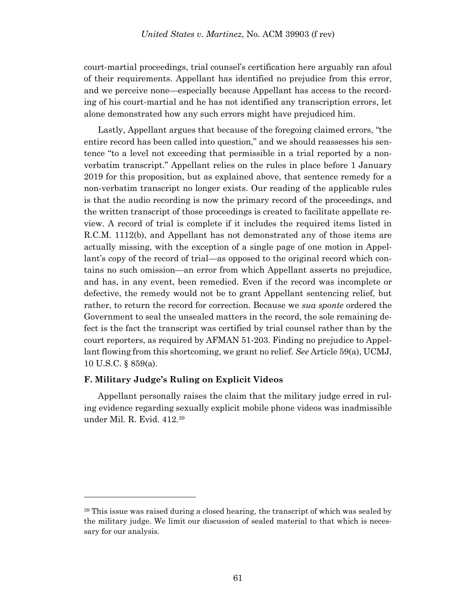court-martial proceedings, trial counsel's certification here arguably ran afoul of their requirements. Appellant has identified no prejudice from this error, and we perceive none—especially because Appellant has access to the recording of his court-martial and he has not identified any transcription errors, let alone demonstrated how any such errors might have prejudiced him.

Lastly, Appellant argues that because of the foregoing claimed errors, "the entire record has been called into question," and we should reassesses his sentence "to a level not exceeding that permissible in a trial reported by a nonverbatim transcript." Appellant relies on the rules in place before 1 January 2019 for this proposition, but as explained above, that sentence remedy for a non-verbatim transcript no longer exists. Our reading of the applicable rules is that the audio recording is now the primary record of the proceedings, and the written transcript of those proceedings is created to facilitate appellate review. A record of trial is complete if it includes the required items listed in R.C.M. 1112(b), and Appellant has not demonstrated any of those items are actually missing, with the exception of a single page of one motion in Appellant's copy of the record of trial—as opposed to the original record which contains no such omission—an error from which Appellant asserts no prejudice, and has, in any event, been remedied. Even if the record was incomplete or defective, the remedy would not be to grant Appellant sentencing relief, but rather, to return the record for correction. Because we *sua sponte* ordered the Government to seal the unsealed matters in the record, the sole remaining defect is the fact the transcript was certified by trial counsel rather than by the court reporters, as required by AFMAN 51-203. Finding no prejudice to Appellant flowing from this shortcoming, we grant no relief. *See* Article 59(a), UCMJ, 10 U.S.C. § 859(a).

### **F. Military Judge's Ruling on Explicit Videos**

l

Appellant personally raises the claim that the military judge erred in ruling evidence regarding sexually explicit mobile phone videos was inadmissible under Mil. R. Evid. 412.<sup>39</sup>

<sup>39</sup> This issue was raised during a closed hearing, the transcript of which was sealed by the military judge. We limit our discussion of sealed material to that which is necessary for our analysis.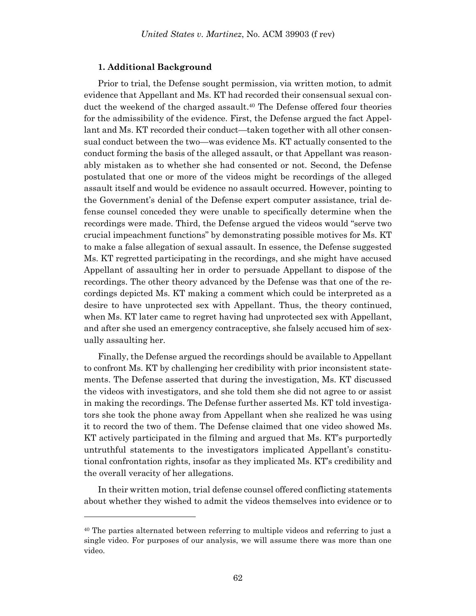#### **1. Additional Background**

Prior to trial, the Defense sought permission, via written motion, to admit evidence that Appellant and Ms. KT had recorded their consensual sexual conduct the weekend of the charged assault. <sup>40</sup> The Defense offered four theories for the admissibility of the evidence. First, the Defense argued the fact Appellant and Ms. KT recorded their conduct—taken together with all other consensual conduct between the two—was evidence Ms. KT actually consented to the conduct forming the basis of the alleged assault, or that Appellant was reasonably mistaken as to whether she had consented or not. Second, the Defense postulated that one or more of the videos might be recordings of the alleged assault itself and would be evidence no assault occurred. However, pointing to the Government's denial of the Defense expert computer assistance, trial defense counsel conceded they were unable to specifically determine when the recordings were made. Third, the Defense argued the videos would "serve two crucial impeachment functions" by demonstrating possible motives for Ms. KT to make a false allegation of sexual assault. In essence, the Defense suggested Ms. KT regretted participating in the recordings, and she might have accused Appellant of assaulting her in order to persuade Appellant to dispose of the recordings. The other theory advanced by the Defense was that one of the recordings depicted Ms. KT making a comment which could be interpreted as a desire to have unprotected sex with Appellant. Thus, the theory continued, when Ms. KT later came to regret having had unprotected sex with Appellant, and after she used an emergency contraceptive, she falsely accused him of sexually assaulting her.

Finally, the Defense argued the recordings should be available to Appellant to confront Ms. KT by challenging her credibility with prior inconsistent statements. The Defense asserted that during the investigation, Ms. KT discussed the videos with investigators, and she told them she did not agree to or assist in making the recordings. The Defense further asserted Ms. KT told investigators she took the phone away from Appellant when she realized he was using it to record the two of them. The Defense claimed that one video showed Ms. KT actively participated in the filming and argued that Ms. KT's purportedly untruthful statements to the investigators implicated Appellant's constitutional confrontation rights, insofar as they implicated Ms. KT's credibility and the overall veracity of her allegations.

In their written motion, trial defense counsel offered conflicting statements about whether they wished to admit the videos themselves into evidence or to

<sup>&</sup>lt;sup>40</sup> The parties alternated between referring to multiple videos and referring to just a single video. For purposes of our analysis, we will assume there was more than one video.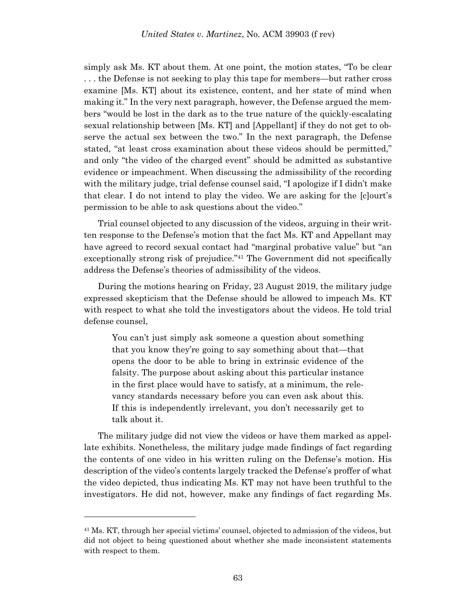simply ask Ms. KT about them. At one point, the motion states, "To be clear . . . the Defense is not seeking to play this tape for members—but rather cross examine [Ms. KT] about its existence, content, and her state of mind when making it." In the very next paragraph, however, the Defense argued the members "would be lost in the dark as to the true nature of the quickly-escalating sexual relationship between [Ms. KT] and [Appellant] if they do not get to observe the actual sex between the two." In the next paragraph, the Defense stated, "at least cross examination about these videos should be permitted," and only "the video of the charged event" should be admitted as substantive evidence or impeachment. When discussing the admissibility of the recording with the military judge, trial defense counsel said, "I apologize if I didn't make that clear. I do not intend to play the video. We are asking for the [c]ourt's permission to be able to ask questions about the video."

Trial counsel objected to any discussion of the videos, arguing in their written response to the Defense's motion that the fact Ms. KT and Appellant may have agreed to record sexual contact had "marginal probative value" but "an exceptionally strong risk of prejudice."<sup>41</sup> The Government did not specifically address the Defense's theories of admissibility of the videos.

During the motions hearing on Friday, 23 August 2019, the military judge expressed skepticism that the Defense should be allowed to impeach Ms. KT with respect to what she told the investigators about the videos. He told trial defense counsel,

You can't just simply ask someone a question about something that you know they're going to say something about that—that opens the door to be able to bring in extrinsic evidence of the falsity. The purpose about asking about this particular instance in the first place would have to satisfy, at a minimum, the relevancy standards necessary before you can even ask about this. If this is independently irrelevant, you don't necessarily get to talk about it.

The military judge did not view the videos or have them marked as appellate exhibits. Nonetheless, the military judge made findings of fact regarding the contents of one video in his written ruling on the Defense's motion. His description of the video's contents largely tracked the Defense's proffer of what the video depicted, thus indicating Ms. KT may not have been truthful to the investigators. He did not, however, make any findings of fact regarding Ms.

<sup>41</sup> Ms. KT, through her special victims' counsel, objected to admission of the videos, but did not object to being questioned about whether she made inconsistent statements with respect to them.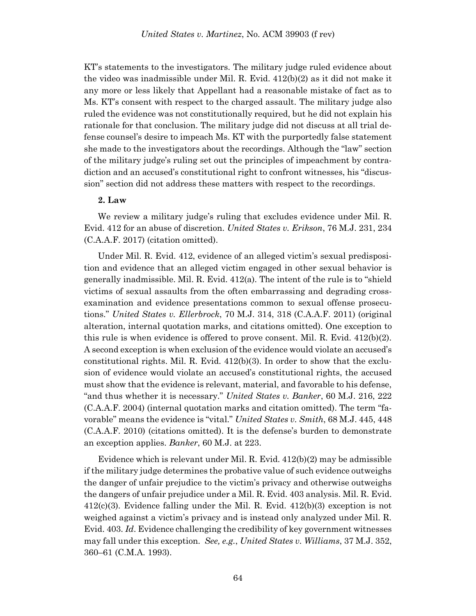KT's statements to the investigators. The military judge ruled evidence about the video was inadmissible under Mil. R. Evid. 412(b)(2) as it did not make it any more or less likely that Appellant had a reasonable mistake of fact as to Ms. KT's consent with respect to the charged assault. The military judge also ruled the evidence was not constitutionally required, but he did not explain his rationale for that conclusion. The military judge did not discuss at all trial defense counsel's desire to impeach Ms. KT with the purportedly false statement she made to the investigators about the recordings. Although the "law" section of the military judge's ruling set out the principles of impeachment by contradiction and an accused's constitutional right to confront witnesses, his "discussion" section did not address these matters with respect to the recordings.

### **2. Law**

We review a military judge's ruling that excludes evidence under Mil. R. Evid. 412 for an abuse of discretion. *United States v. Erikson*, 76 M.J. 231, 234 (C.A.A.F. 2017) (citation omitted).

Under Mil. R. Evid. 412, evidence of an alleged victim's sexual predisposition and evidence that an alleged victim engaged in other sexual behavior is generally inadmissible. Mil. R. Evid. 412(a). The intent of the rule is to "shield victims of sexual assaults from the often embarrassing and degrading crossexamination and evidence presentations common to sexual offense prosecutions." *United States v. Ellerbrock*, 70 M.J. 314, 318 (C.A.A.F. 2011) (original alteration, internal quotation marks, and citations omitted). One exception to this rule is when evidence is offered to prove consent. Mil. R. Evid.  $412(b)(2)$ . A second exception is when exclusion of the evidence would violate an accused's constitutional rights. Mil. R. Evid.  $412(b)(3)$ . In order to show that the exclusion of evidence would violate an accused's constitutional rights, the accused must show that the evidence is relevant, material, and favorable to his defense, "and thus whether it is necessary." *United States v. Banker*, 60 M.J. 216, 222 (C.A.A.F. 2004) (internal quotation marks and citation omitted). The term "favorable" means the evidence is "vital." *United States v. Smith*, 68 M.J. 445, 448 (C.A.A.F. 2010) (citations omitted). It is the defense's burden to demonstrate an exception applies. *Banker*, 60 M.J. at 223.

Evidence which is relevant under Mil. R. Evid. 412(b)(2) may be admissible if the military judge determines the probative value of such evidence outweighs the danger of unfair prejudice to the victim's privacy and otherwise outweighs the dangers of unfair prejudice under a Mil. R. Evid. 403 analysis. Mil. R. Evid. 412(c)(3). Evidence falling under the Mil. R. Evid. 412(b)(3) exception is not weighed against a victim's privacy and is instead only analyzed under Mil. R. Evid. 403. *Id*. Evidence challenging the credibility of key government witnesses may fall under this exception. *See, e.g.*, *United States v. Williams*, 37 M.J. 352, 360–61 (C.M.A. 1993).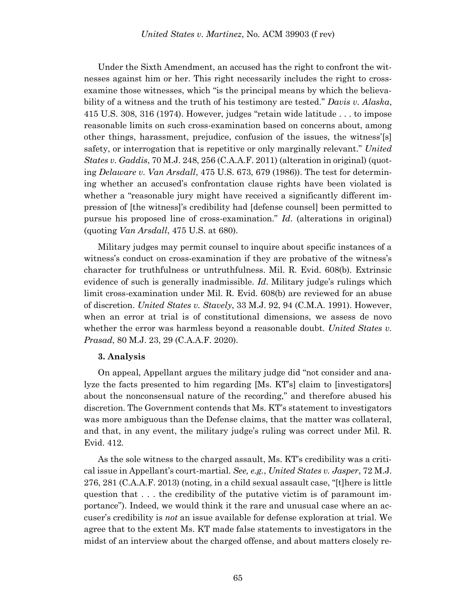Under the Sixth Amendment, an accused has the right to confront the witnesses against him or her. This right necessarily includes the right to crossexamine those witnesses, which "is the principal means by which the believability of a witness and the truth of his testimony are tested." *Davis v. Alaska*, 415 U.S. 308, 316 (1974). However, judges "retain wide latitude . . . to impose reasonable limits on such cross-examination based on concerns about, among other things, harassment, prejudice, confusion of the issues, the witness'[s] safety, or interrogation that is repetitive or only marginally relevant." *United States v. Gaddis*, 70 M.J. 248, 256 (C.A.A.F. 2011) (alteration in original) (quoting *Delaware v. Van Arsdall*, 475 U.S. 673, 679 (1986)). The test for determining whether an accused's confrontation clause rights have been violated is whether a "reasonable jury might have received a significantly different impression of [the witness]'s credibility had [defense counsel] been permitted to pursue his proposed line of cross-examination." *Id*. (alterations in original) (quoting *Van Arsdall*, 475 U.S. at 680).

Military judges may permit counsel to inquire about specific instances of a witness's conduct on cross-examination if they are probative of the witness's character for truthfulness or untruthfulness. Mil. R. Evid. 608(b). Extrinsic evidence of such is generally inadmissible. *Id*. Military judge's rulings which limit cross-examination under Mil. R. Evid. 608(b) are reviewed for an abuse of discretion. *United States v. Stavely*, 33 M.J. 92, 94 (C.M.A. 1991). However, when an error at trial is of constitutional dimensions, we assess de novo whether the error was harmless beyond a reasonable doubt. *United States v. Prasad*, 80 M.J. 23, 29 (C.A.A.F. 2020).

#### **3. Analysis**

On appeal, Appellant argues the military judge did "not consider and analyze the facts presented to him regarding [Ms. KT's] claim to [investigators] about the nonconsensual nature of the recording," and therefore abused his discretion. The Government contends that Ms. KT's statement to investigators was more ambiguous than the Defense claims, that the matter was collateral, and that, in any event, the military judge's ruling was correct under Mil. R. Evid. 412.

As the sole witness to the charged assault, Ms. KT's credibility was a critical issue in Appellant's court-martial. *See, e.g.*, *United States v. Jasper*, 72 M.J. 276, 281 (C.A.A.F. 2013) (noting, in a child sexual assault case, "[t]here is little question that . . . the credibility of the putative victim is of paramount importance"). Indeed, we would think it the rare and unusual case where an accuser's credibility is *not* an issue available for defense exploration at trial. We agree that to the extent Ms. KT made false statements to investigators in the midst of an interview about the charged offense, and about matters closely re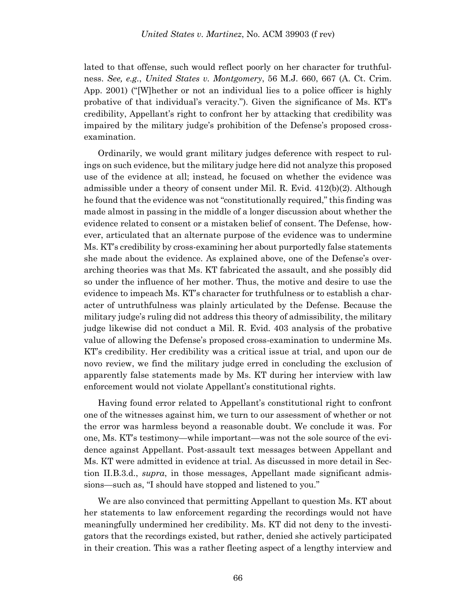lated to that offense, such would reflect poorly on her character for truthfulness. *See, e.g.*, *United States v. Montgomery*, 56 M.J. 660, 667 (A. Ct. Crim. App. 2001) ("[W]hether or not an individual lies to a police officer is highly probative of that individual's veracity."). Given the significance of Ms. KT's credibility, Appellant's right to confront her by attacking that credibility was impaired by the military judge's prohibition of the Defense's proposed crossexamination.

Ordinarily, we would grant military judges deference with respect to rulings on such evidence, but the military judge here did not analyze this proposed use of the evidence at all; instead, he focused on whether the evidence was admissible under a theory of consent under Mil. R. Evid. 412(b)(2). Although he found that the evidence was not "constitutionally required," this finding was made almost in passing in the middle of a longer discussion about whether the evidence related to consent or a mistaken belief of consent. The Defense, however, articulated that an alternate purpose of the evidence was to undermine Ms. KT's credibility by cross-examining her about purportedly false statements she made about the evidence. As explained above, one of the Defense's overarching theories was that Ms. KT fabricated the assault, and she possibly did so under the influence of her mother. Thus, the motive and desire to use the evidence to impeach Ms. KT's character for truthfulness or to establish a character of untruthfulness was plainly articulated by the Defense. Because the military judge's ruling did not address this theory of admissibility, the military judge likewise did not conduct a Mil. R. Evid. 403 analysis of the probative value of allowing the Defense's proposed cross-examination to undermine Ms. KT's credibility. Her credibility was a critical issue at trial, and upon our de novo review, we find the military judge erred in concluding the exclusion of apparently false statements made by Ms. KT during her interview with law enforcement would not violate Appellant's constitutional rights.

Having found error related to Appellant's constitutional right to confront one of the witnesses against him, we turn to our assessment of whether or not the error was harmless beyond a reasonable doubt. We conclude it was. For one, Ms. KT's testimony—while important—was not the sole source of the evidence against Appellant. Post-assault text messages between Appellant and Ms. KT were admitted in evidence at trial. As discussed in more detail in Section II.B.3.d., *supra*, in those messages, Appellant made significant admissions—such as, "I should have stopped and listened to you."

We are also convinced that permitting Appellant to question Ms. KT about her statements to law enforcement regarding the recordings would not have meaningfully undermined her credibility. Ms. KT did not deny to the investigators that the recordings existed, but rather, denied she actively participated in their creation. This was a rather fleeting aspect of a lengthy interview and